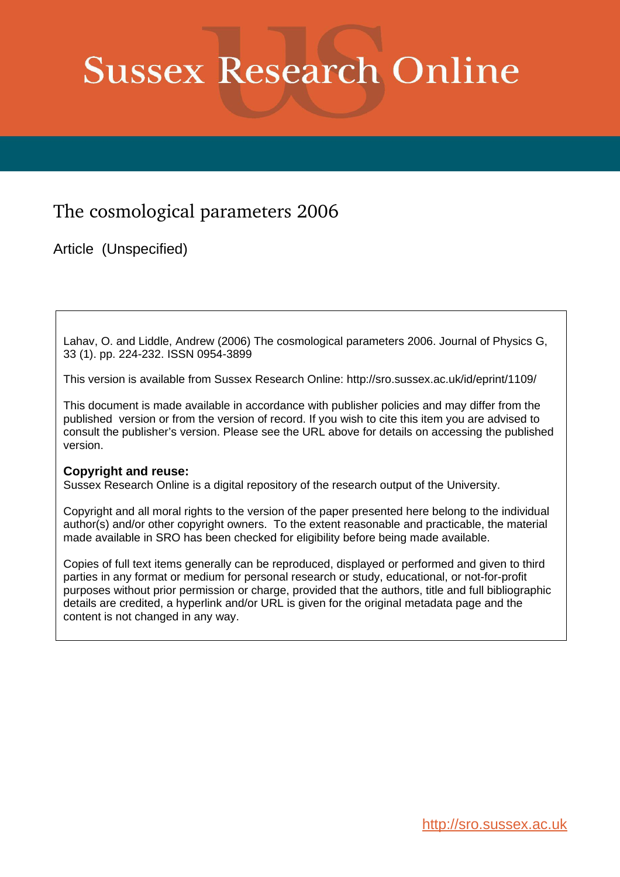# **Sussex Research Online**

# The cosmological parameters 2006

Article (Unspecified)

Lahav, O. and Liddle, Andrew (2006) The cosmological parameters 2006. Journal of Physics G, 33 (1). pp. 224-232. ISSN 0954-3899

This version is available from Sussex Research Online: http://sro.sussex.ac.uk/id/eprint/1109/

This document is made available in accordance with publisher policies and may differ from the published version or from the version of record. If you wish to cite this item you are advised to consult the publisher's version. Please see the URL above for details on accessing the published version.

## **Copyright and reuse:**

Sussex Research Online is a digital repository of the research output of the University.

Copyright and all moral rights to the version of the paper presented here belong to the individual author(s) and/or other copyright owners. To the extent reasonable and practicable, the material made available in SRO has been checked for eligibility before being made available.

Copies of full text items generally can be reproduced, displayed or performed and given to third parties in any format or medium for personal research or study, educational, or not-for-profit purposes without prior permission or charge, provided that the authors, title and full bibliographic details are credited, a hyperlink and/or URL is given for the original metadata page and the content is not changed in any way.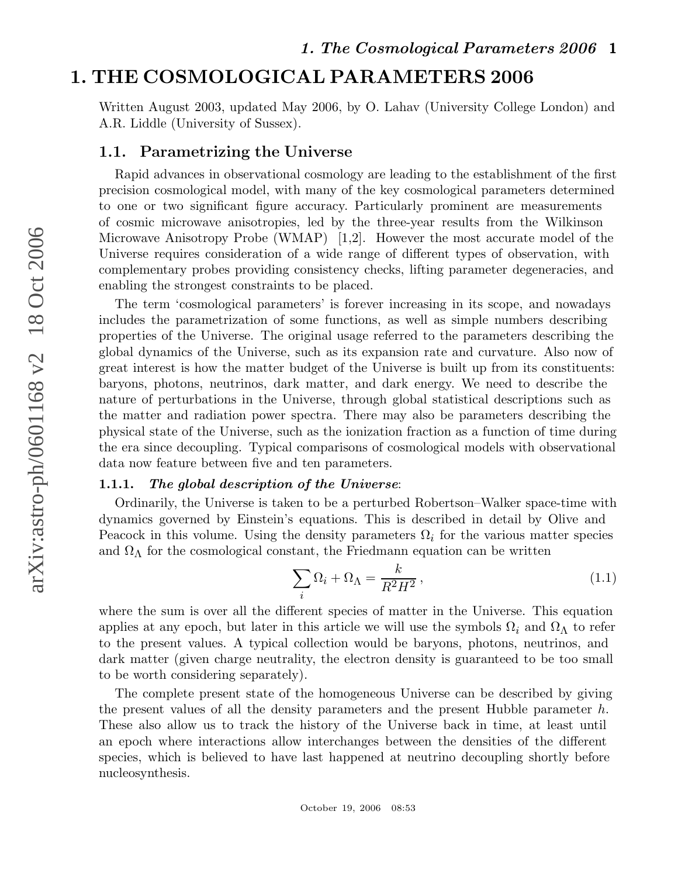## 1. THE COSMOLOGICAL PARAMETERS 2006

Written August 2003, updated May 2006, by O. Lahav (University College London) and A.R. Liddle (University of Sussex).

#### 1.1. Parametrizing the Universe

Rapid advances in observational cosmology are leading to the establishment of the first precision cosmological model, with many of the key cosmological parameters determined to one or two significant figure accuracy. Particularly prominent are measurements of cosmic microwave anisotropies, led by the three-year results from the Wilkinson Microwave Anisotropy Probe (WMAP) [1,2]. However the most accurate model of the Universe requires consideration of a wide range of different types of observation, with complementary probes providing consistency checks, lifting parameter degeneracies, and enabling the strongest constraints to be placed.

The term 'cosmological parameters' is forever increasing in its scope, and nowadays includes the parametrization of some functions, as well as simple numbers describing properties of the Universe. The original usage referred to the parameters describing the global dynamics of the Universe, such as its expansion rate and curvature. Also now of great interest is how the matter budget of the Universe is built up from its constituents: baryons, photons, neutrinos, dark matter, and dark energy. We need to describe the nature of perturbations in the Universe, through global statistical descriptions such as the matter and radiation power spectra. There may also be parameters describing the physical state of the Universe, such as the ionization fraction as a function of time during the era since decoupling. Typical comparisons of cosmological models with observational data now feature between five and ten parameters.

#### 1.1.1. The global description of the Universe:

Ordinarily, the Universe is taken to be a perturbed Robertson–Walker space-time with dynamics governed by Einstein's equations. This is described in detail by Olive and Peacock in this volume. Using the density parameters  $\Omega_i$  for the various matter species and  $\Omega_{\Lambda}$  for the cosmological constant, the Friedmann equation can be written

$$
\sum_{i} \Omega_i + \Omega_{\Lambda} = \frac{k}{R^2 H^2},\tag{1.1}
$$

where the sum is over all the different species of matter in the Universe. This equation applies at any epoch, but later in this article we will use the symbols  $\Omega_i$  and  $\Omega_\Lambda$  to refer to the present values. A typical collection would be baryons, photons, neutrinos, and dark matter (given charge neutrality, the electron density is guaranteed to be too small to be worth considering separately).

The complete present state of the homogeneous Universe can be described by giving the present values of all the density parameters and the present Hubble parameter h. These also allow us to track the history of the Universe back in time, at least until an epoch where interactions allow interchanges between the densities of the different species, which is believed to have last happened at neutrino decoupling shortly before nucleosynthesis.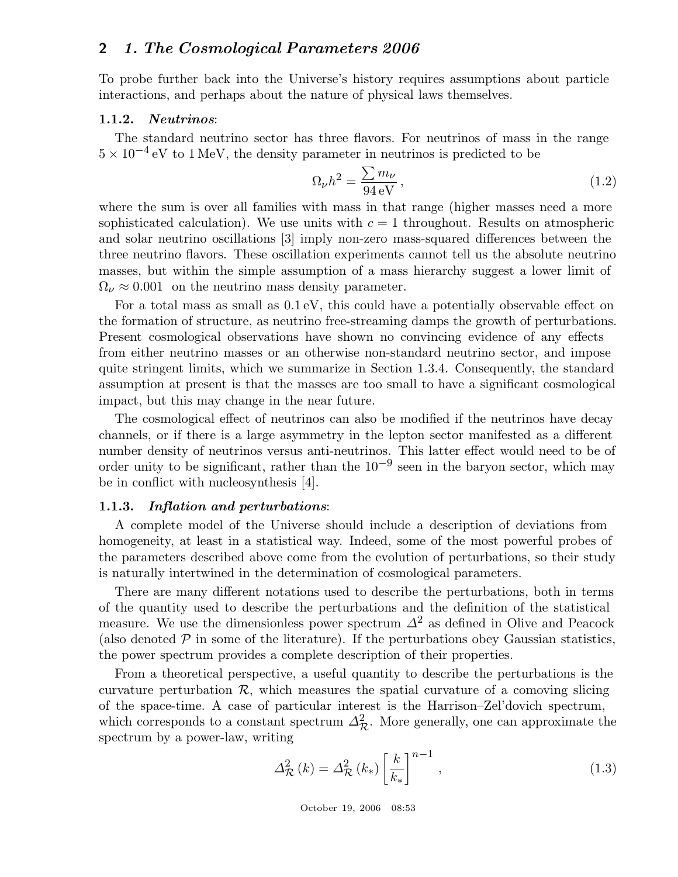To probe further back into the Universe's history requires assumptions about particle interactions, and perhaps about the nature of physical laws themselves.

#### 1.1.2. Neutrinos:

The standard neutrino sector has three flavors. For neutrinos of mass in the range  $5 \times 10^{-4}$  eV to 1 MeV, the density parameter in neutrinos is predicted to be

$$
\Omega_{\nu}h^2 = \frac{\sum m_{\nu}}{94 \,\mathrm{eV}}\,,\tag{1.2}
$$

where the sum is over all families with mass in that range (higher masses need a more sophisticated calculation). We use units with  $c = 1$  throughout. Results on atmospheric and solar neutrino oscillations [3] imply non-zero mass-squared differences between the three neutrino flavors. These oscillation experiments cannot tell us the absolute neutrino masses, but within the simple assumption of a mass hierarchy suggest a lower limit of  $\Omega_{\nu} \approx 0.001$  on the neutrino mass density parameter.

For a total mass as small as 0.1 eV, this could have a potentially observable effect on the formation of structure, as neutrino free-streaming damps the growth of perturbations. Present cosmological observations have shown no convincing evidence of any effects from either neutrino masses or an otherwise non-standard neutrino sector, and impose quite stringent limits, which we summarize in Section 1.3.4. Consequently, the standard assumption at present is that the masses are too small to have a significant cosmological impact, but this may change in the near future.

The cosmological effect of neutrinos can also be modified if the neutrinos have decay channels, or if there is a large asymmetry in the lepton sector manifested as a different number density of neutrinos versus anti-neutrinos. This latter effect would need to be of order unity to be significant, rather than the  $10^{-9}$  seen in the baryon sector, which may be in conflict with nucleosynthesis [4].

#### 1.1.3. Inflation and perturbations:

A complete model of the Universe should include a description of deviations from homogeneity, at least in a statistical way. Indeed, some of the most powerful probes of the parameters described above come from the evolution of perturbations, so their study is naturally intertwined in the determination of cosmological parameters.

There are many different notations used to describe the perturbations, both in terms of the quantity used to describe the perturbations and the definition of the statistical measure. We use the dimensionless power spectrum  $\Delta^2$  as defined in Olive and Peacock (also denoted  $P$  in some of the literature). If the perturbations obey Gaussian statistics, the power spectrum provides a complete description of their properties.

From a theoretical perspective, a useful quantity to describe the perturbations is the curvature perturbation  $\mathcal{R}$ , which measures the spatial curvature of a comoving slicing of the space-time. A case of particular interest is the Harrison–Zel'dovich spectrum, which corresponds to a constant spectrum  $\Delta_{\mathcal{R}}^2$ . More generally, one can approximate the spectrum by a power-law, writing

$$
\Delta_{\mathcal{R}}^{2}(k) = \Delta_{\mathcal{R}}^{2}(k_{*}) \left[\frac{k}{k_{*}}\right]^{n-1}, \qquad (1.3)
$$

October 19, 2006 08:53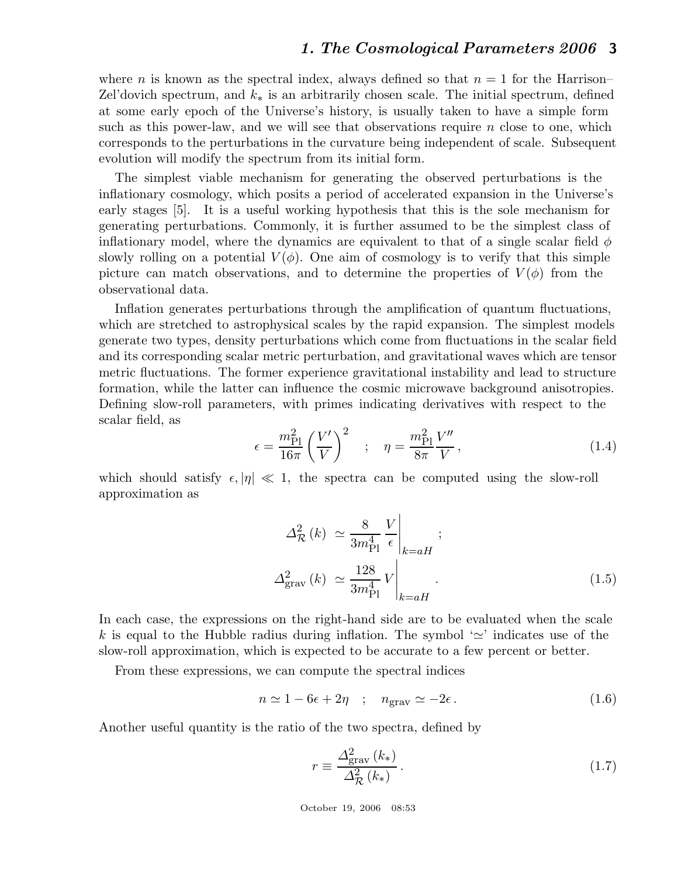where n is known as the spectral index, always defined so that  $n = 1$  for the Harrison– Zel'dovich spectrum, and  $k_*$  is an arbitrarily chosen scale. The initial spectrum, defined at some early epoch of the Universe's history, is usually taken to have a simple form such as this power-law, and we will see that observations require  $n$  close to one, which corresponds to the perturbations in the curvature being independent of scale. Subsequent evolution will modify the spectrum from its initial form.

The simplest viable mechanism for generating the observed perturbations is the inflationary cosmology, which posits a period of accelerated expansion in the Universe's early stages [5]. It is a useful working hypothesis that this is the sole mechanism for generating perturbations. Commonly, it is further assumed to be the simplest class of inflationary model, where the dynamics are equivalent to that of a single scalar field  $\phi$ slowly rolling on a potential  $V(\phi)$ . One aim of cosmology is to verify that this simple picture can match observations, and to determine the properties of  $V(\phi)$  from the observational data.

Inflation generates perturbations through the amplification of quantum fluctuations, which are stretched to astrophysical scales by the rapid expansion. The simplest models generate two types, density perturbations which come from fluctuations in the scalar field and its corresponding scalar metric perturbation, and gravitational waves which are tensor metric fluctuations. The former experience gravitational instability and lead to structure formation, while the latter can influence the cosmic microwave background anisotropies. Defining slow-roll parameters, with primes indicating derivatives with respect to the scalar field, as

$$
\epsilon = \frac{m_{\rm Pl}^2}{16\pi} \left(\frac{V'}{V}\right)^2 \quad ; \quad \eta = \frac{m_{\rm Pl}^2}{8\pi} \frac{V''}{V} \,, \tag{1.4}
$$

which should satisfy  $\epsilon, |\eta| \ll 1$ , the spectra can be computed using the slow-roll approximation as

$$
\Delta_{\mathcal{R}}^{2}(k) \simeq \frac{8}{3m_{\rm Pl}^{4}} \frac{V}{\epsilon} \Big|_{k=aH};
$$
\n
$$
\Delta_{\rm grav}^{2}(k) \simeq \frac{128}{3m_{\rm Pl}^{4}} V \Big|_{k=aH}.
$$
\n(1.5)

In each case, the expressions on the right-hand side are to be evaluated when the scale k is equal to the Hubble radius during inflation. The symbol  $\sim$  indicates use of the slow-roll approximation, which is expected to be accurate to a few percent or better.

From these expressions, we can compute the spectral indices

$$
n \simeq 1 - 6\epsilon + 2\eta \quad ; \quad n_{\text{grav}} \simeq -2\epsilon \,. \tag{1.6}
$$

Another useful quantity is the ratio of the two spectra, defined by

$$
r \equiv \frac{\Delta_{\text{grav}}^2(k_*)}{\Delta_{\mathcal{R}}^2(k_*)} \,. \tag{1.7}
$$

October 19, 2006 08:53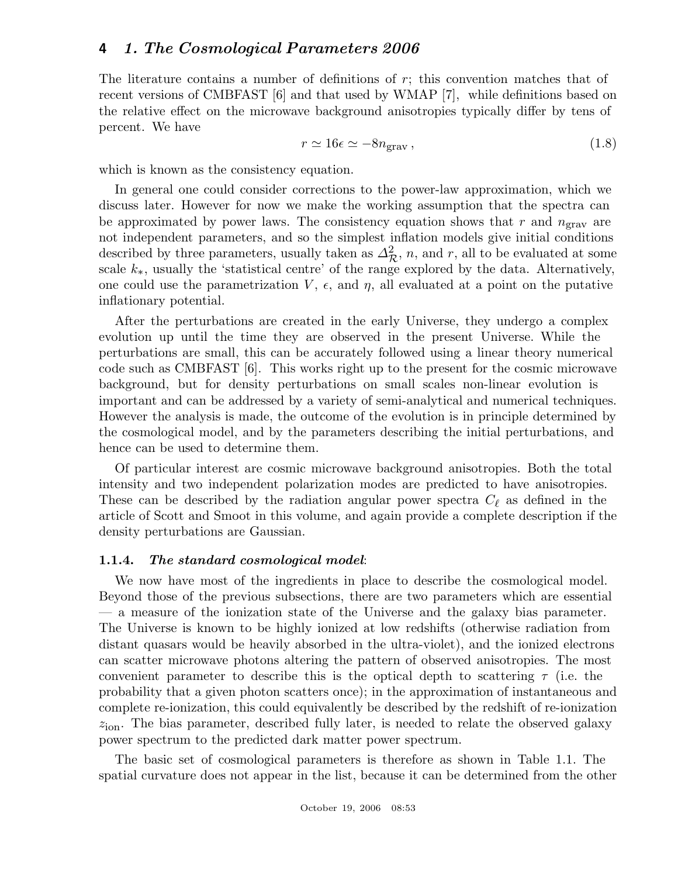The literature contains a number of definitions of r; this convention matches that of recent versions of CMBFAST [6] and that used by WMAP [7], while definitions based on the relative effect on the microwave background anisotropies typically differ by tens of percent. We have

$$
r \simeq 16\epsilon \simeq -8n_{\text{grav}}\,,\tag{1.8}
$$

which is known as the consistency equation.

In general one could consider corrections to the power-law approximation, which we discuss later. However for now we make the working assumption that the spectra can be approximated by power laws. The consistency equation shows that r and  $n_{\text{grav}}$  are not independent parameters, and so the simplest inflation models give initial conditions described by three parameters, usually taken as  $\Delta_{\mathcal{R}}^2$ , n, and r, all to be evaluated at some scale  $k_{*}$ , usually the 'statistical centre' of the range explored by the data. Alternatively, one could use the parametrization  $V$ ,  $\epsilon$ , and  $\eta$ , all evaluated at a point on the putative inflationary potential.

After the perturbations are created in the early Universe, they undergo a complex evolution up until the time they are observed in the present Universe. While the perturbations are small, this can be accurately followed using a linear theory numerical code such as CMBFAST [6]. This works right up to the present for the cosmic microwave background, but for density perturbations on small scales non-linear evolution is important and can be addressed by a variety of semi-analytical and numerical techniques. However the analysis is made, the outcome of the evolution is in principle determined by the cosmological model, and by the parameters describing the initial perturbations, and hence can be used to determine them.

Of particular interest are cosmic microwave background anisotropies. Both the total intensity and two independent polarization modes are predicted to have anisotropies. These can be described by the radiation angular power spectra  $C_{\ell}$  as defined in the article of Scott and Smoot in this volume, and again provide a complete description if the density perturbations are Gaussian.

#### 1.1.4. The standard cosmological model:

We now have most of the ingredients in place to describe the cosmological model. Beyond those of the previous subsections, there are two parameters which are essential — a measure of the ionization state of the Universe and the galaxy bias parameter. The Universe is known to be highly ionized at low redshifts (otherwise radiation from distant quasars would be heavily absorbed in the ultra-violet), and the ionized electrons can scatter microwave photons altering the pattern of observed anisotropies. The most convenient parameter to describe this is the optical depth to scattering  $\tau$  (i.e. the probability that a given photon scatters once); in the approximation of instantaneous and complete re-ionization, this could equivalently be described by the redshift of re-ionization  $z<sub>ion</sub>$ . The bias parameter, described fully later, is needed to relate the observed galaxy power spectrum to the predicted dark matter power spectrum.

The basic set of cosmological parameters is therefore as shown in Table 1.1. The spatial curvature does not appear in the list, because it can be determined from the other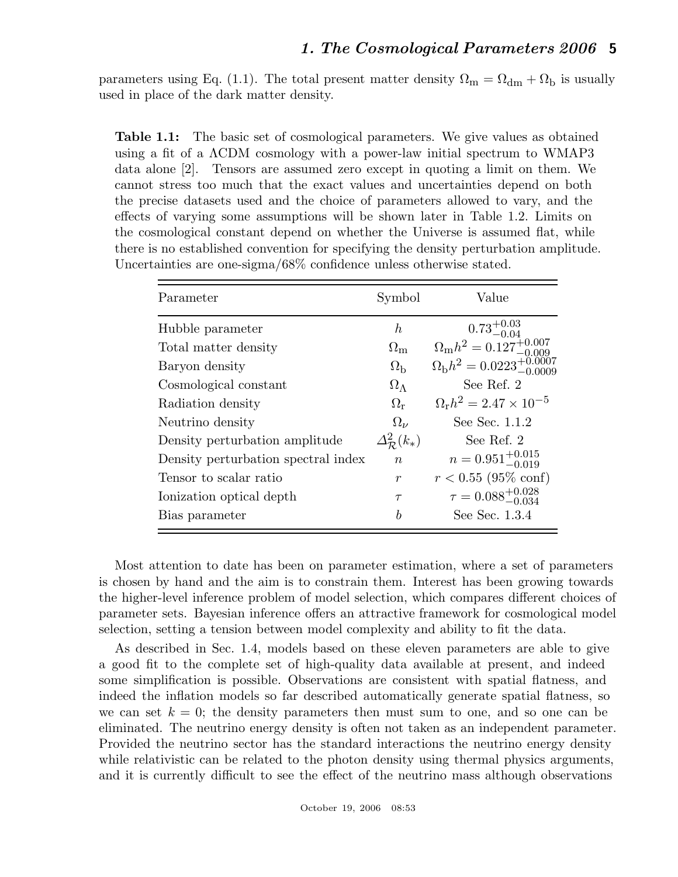parameters using Eq. (1.1). The total present matter density  $\Omega_{\rm m} = \Omega_{\rm dm} + \Omega_{\rm b}$  is usually used in place of the dark matter density.

Table 1.1: The basic set of cosmological parameters. We give values as obtained using a fit of a ΛCDM cosmology with a power-law initial spectrum to WMAP3 data alone [2]. Tensors are assumed zero except in quoting a limit on them. We cannot stress too much that the exact values and uncertainties depend on both the precise datasets used and the choice of parameters allowed to vary, and the effects of varying some assumptions will be shown later in Table 1.2. Limits on the cosmological constant depend on whether the Universe is assumed flat, while there is no established convention for specifying the density perturbation amplitude. Uncertainties are one-sigma/68% confidence unless otherwise stated.

| Parameter                           | Symbol                        | Value                                            |
|-------------------------------------|-------------------------------|--------------------------------------------------|
| Hubble parameter                    | $\hbar$                       | $0.73^{+0.03}_{-0.04}$                           |
| Total matter density                | $\Omega_{\rm m}$              | $\Omega_{\rm m}h^2 = 0.127^{+0.007}_{-0.009}$    |
| Baryon density                      | $\Omega_{\rm h}$              | $\Omega_{\rm b}h^2 = 0.0223^{+0.0007}_{-0.0009}$ |
| Cosmological constant               | $\Omega_{\Lambda}$            | See Ref. 2                                       |
| Radiation density                   | $\Omega_{\rm r}$              | $\Omega_r h^2 = 2.47 \times 10^{-5}$             |
| Neutrino density                    | $\Omega_{\nu}$                | See Sec. 1.1.2                                   |
| Density perturbation amplitude      | $\Delta_{\mathcal{R}}^2(k_*)$ | See Ref. 2                                       |
| Density perturbation spectral index | $\boldsymbol{n}$              | $n = 0.951^{+0.015}_{-0.019}$                    |
| Tensor to scalar ratio              | $\boldsymbol{r}$              | $r < 0.55$ (95\% conf)                           |
| Ionization optical depth            | $\tau$                        | $\tau = 0.088_{-0.034}^{+0.028}$                 |
| Bias parameter                      | b                             | See Sec. 1.3.4                                   |

Most attention to date has been on parameter estimation, where a set of parameters is chosen by hand and the aim is to constrain them. Interest has been growing towards the higher-level inference problem of model selection, which compares different choices of parameter sets. Bayesian inference offers an attractive framework for cosmological model selection, setting a tension between model complexity and ability to fit the data.

As described in Sec. 1.4, models based on these eleven parameters are able to give a good fit to the complete set of high-quality data available at present, and indeed some simplification is possible. Observations are consistent with spatial flatness, and indeed the inflation models so far described automatically generate spatial flatness, so we can set  $k = 0$ ; the density parameters then must sum to one, and so one can be eliminated. The neutrino energy density is often not taken as an independent parameter. Provided the neutrino sector has the standard interactions the neutrino energy density while relativistic can be related to the photon density using thermal physics arguments, and it is currently difficult to see the effect of the neutrino mass although observations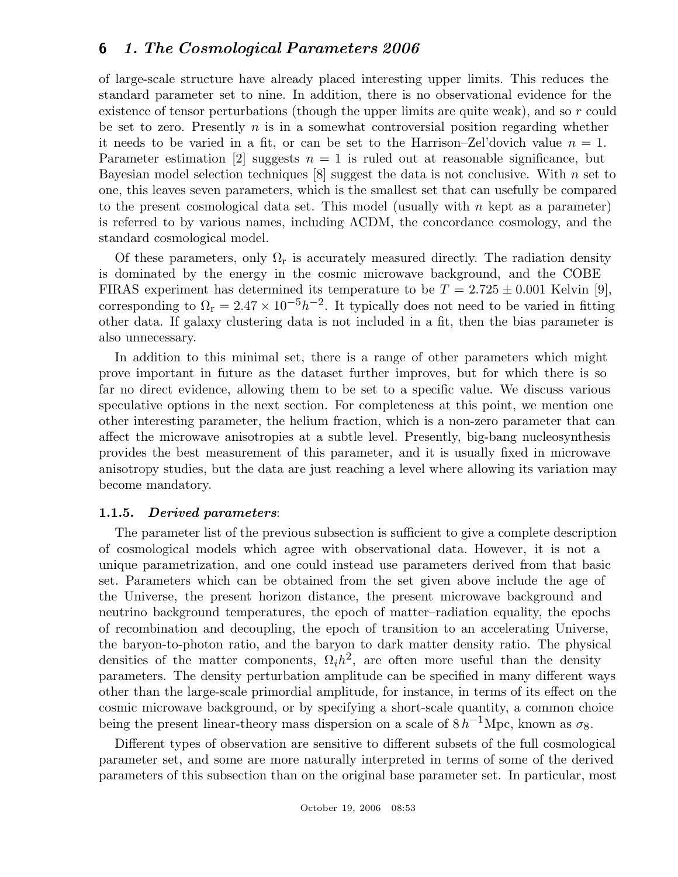of large-scale structure have already placed interesting upper limits. This reduces the standard parameter set to nine. In addition, there is no observational evidence for the existence of tensor perturbations (though the upper limits are quite weak), and so r could be set to zero. Presently  $n$  is in a somewhat controversial position regarding whether it needs to be varied in a fit, or can be set to the Harrison–Zel'dovich value  $n = 1$ . Parameter estimation [2] suggests  $n = 1$  is ruled out at reasonable significance, but Bayesian model selection techniques  $[8]$  suggest the data is not conclusive. With n set to one, this leaves seven parameters, which is the smallest set that can usefully be compared to the present cosmological data set. This model (usually with  $n$  kept as a parameter) is referred to by various names, including ΛCDM, the concordance cosmology, and the standard cosmological model.

Of these parameters, only  $\Omega_r$  is accurately measured directly. The radiation density is dominated by the energy in the cosmic microwave background, and the COBE FIRAS experiment has determined its temperature to be  $T = 2.725 \pm 0.001$  Kelvin [9], corresponding to  $\Omega_r = 2.47 \times 10^{-5} h^{-2}$ . It typically does not need to be varied in fitting other data. If galaxy clustering data is not included in a fit, then the bias parameter is also unnecessary.

In addition to this minimal set, there is a range of other parameters which might prove important in future as the dataset further improves, but for which there is so far no direct evidence, allowing them to be set to a specific value. We discuss various speculative options in the next section. For completeness at this point, we mention one other interesting parameter, the helium fraction, which is a non-zero parameter that can affect the microwave anisotropies at a subtle level. Presently, big-bang nucleosynthesis provides the best measurement of this parameter, and it is usually fixed in microwave anisotropy studies, but the data are just reaching a level where allowing its variation may become mandatory.

### 1.1.5. Derived parameters:

The parameter list of the previous subsection is sufficient to give a complete description of cosmological models which agree with observational data. However, it is not a unique parametrization, and one could instead use parameters derived from that basic set. Parameters which can be obtained from the set given above include the age of the Universe, the present horizon distance, the present microwave background and neutrino background temperatures, the epoch of matter–radiation equality, the epochs of recombination and decoupling, the epoch of transition to an accelerating Universe, the baryon-to-photon ratio, and the baryon to dark matter density ratio. The physical densities of the matter components,  $\Omega_i h^2$ , are often more useful than the density parameters. The density perturbation amplitude can be specified in many different ways other than the large-scale primordial amplitude, for instance, in terms of its effect on the cosmic microwave background, or by specifying a short-scale quantity, a common choice being the present linear-theory mass dispersion on a scale of  $8 h^{-1}$ Mpc, known as  $\sigma_8$ .

Different types of observation are sensitive to different subsets of the full cosmological parameter set, and some are more naturally interpreted in terms of some of the derived parameters of this subsection than on the original base parameter set. In particular, most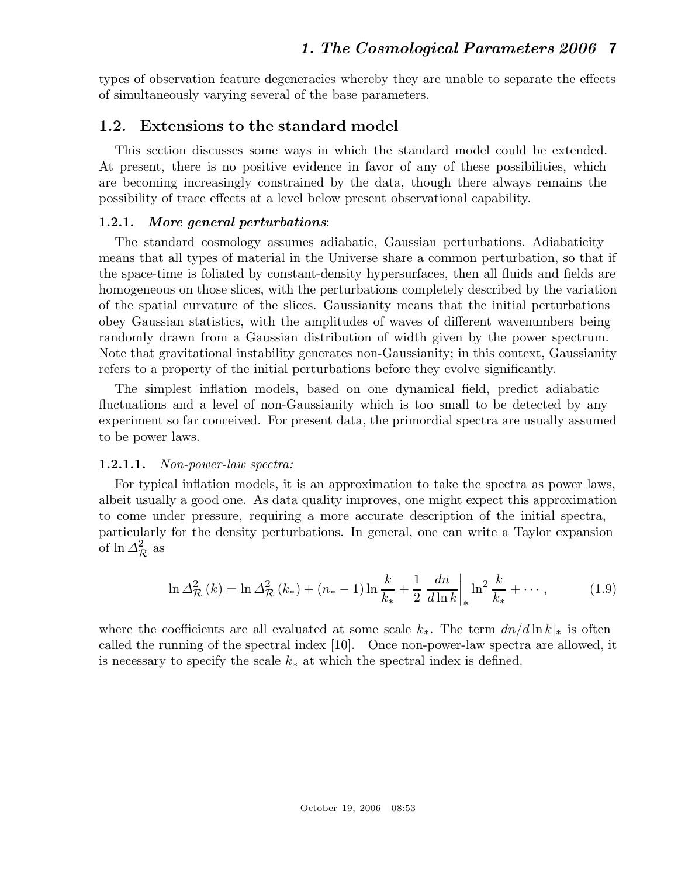types of observation feature degeneracies whereby they are unable to separate the effects of simultaneously varying several of the base parameters.

## 1.2. Extensions to the standard model

This section discusses some ways in which the standard model could be extended. At present, there is no positive evidence in favor of any of these possibilities, which are becoming increasingly constrained by the data, though there always remains the possibility of trace effects at a level below present observational capability.

#### 1.2.1. More general perturbations:

The standard cosmology assumes adiabatic, Gaussian perturbations. Adiabaticity means that all types of material in the Universe share a common perturbation, so that if the space-time is foliated by constant-density hypersurfaces, then all fluids and fields are homogeneous on those slices, with the perturbations completely described by the variation of the spatial curvature of the slices. Gaussianity means that the initial perturbations obey Gaussian statistics, with the amplitudes of waves of different wavenumbers being randomly drawn from a Gaussian distribution of width given by the power spectrum. Note that gravitational instability generates non-Gaussianity; in this context, Gaussianity refers to a property of the initial perturbations before they evolve significantly.

The simplest inflation models, based on one dynamical field, predict adiabatic fluctuations and a level of non-Gaussianity which is too small to be detected by any experiment so far conceived. For present data, the primordial spectra are usually assumed to be power laws.

### 1.2.1.1. Non-power-law spectra:

For typical inflation models, it is an approximation to take the spectra as power laws, albeit usually a good one. As data quality improves, one might expect this approximation to come under pressure, requiring a more accurate description of the initial spectra, particularly for the density perturbations. In general, one can write a Taylor expansion of  $\ln \Delta_{\mathcal{R}}^2$  as

$$
\ln \Delta_{\mathcal{R}}^{2}(k) = \ln \Delta_{\mathcal{R}}^{2}(k_{*}) + (n_{*} - 1) \ln \frac{k}{k_{*}} + \frac{1}{2} \frac{dn}{d \ln k} \bigg|_{*} \ln^{2} \frac{k}{k_{*}} + \cdots,
$$
 (1.9)

where the coefficients are all evaluated at some scale  $k_*.$  The term  $dn/d \ln k|_*$  is often called the running of the spectral index [10]. Once non-power-law spectra are allowed, it is necessary to specify the scale  $k_*$  at which the spectral index is defined.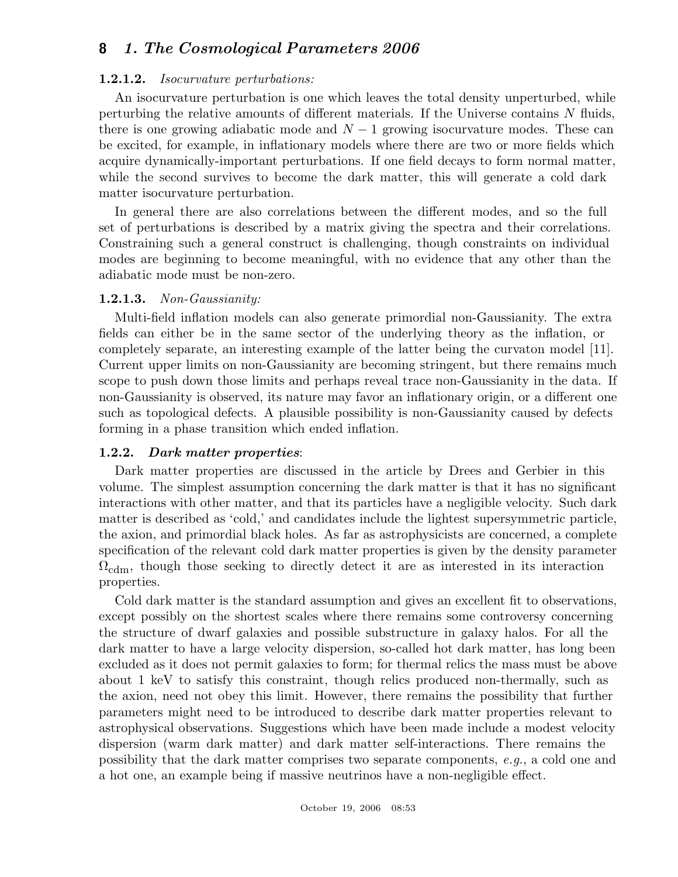#### **1.2.1.2.** Isocurvature perturbations:

An isocurvature perturbation is one which leaves the total density unperturbed, while perturbing the relative amounts of different materials. If the Universe contains N fluids, there is one growing adiabatic mode and  $N-1$  growing isocurvature modes. These can be excited, for example, in inflationary models where there are two or more fields which acquire dynamically-important perturbations. If one field decays to form normal matter, while the second survives to become the dark matter, this will generate a cold dark matter isocurvature perturbation.

In general there are also correlations between the different modes, and so the full set of perturbations is described by a matrix giving the spectra and their correlations. Constraining such a general construct is challenging, though constraints on individual modes are beginning to become meaningful, with no evidence that any other than the adiabatic mode must be non-zero.

#### **1.2.1.3.** Non-Gaussianity:

Multi-field inflation models can also generate primordial non-Gaussianity. The extra fields can either be in the same sector of the underlying theory as the inflation, or completely separate, an interesting example of the latter being the curvaton model [11]. Current upper limits on non-Gaussianity are becoming stringent, but there remains much scope to push down those limits and perhaps reveal trace non-Gaussianity in the data. If non-Gaussianity is observed, its nature may favor an inflationary origin, or a different one such as topological defects. A plausible possibility is non-Gaussianity caused by defects forming in a phase transition which ended inflation.

#### 1.2.2. Dark matter properties:

Dark matter properties are discussed in the article by Drees and Gerbier in this volume. The simplest assumption concerning the dark matter is that it has no significant interactions with other matter, and that its particles have a negligible velocity. Such dark matter is described as 'cold,' and candidates include the lightest supersymmetric particle, the axion, and primordial black holes. As far as astrophysicists are concerned, a complete specification of the relevant cold dark matter properties is given by the density parameter  $\Omega_{\rm cdm}$ , though those seeking to directly detect it are as interested in its interaction properties.

Cold dark matter is the standard assumption and gives an excellent fit to observations, except possibly on the shortest scales where there remains some controversy concerning the structure of dwarf galaxies and possible substructure in galaxy halos. For all the dark matter to have a large velocity dispersion, so-called hot dark matter, has long been excluded as it does not permit galaxies to form; for thermal relics the mass must be above about 1 keV to satisfy this constraint, though relics produced non-thermally, such as the axion, need not obey this limit. However, there remains the possibility that further parameters might need to be introduced to describe dark matter properties relevant to astrophysical observations. Suggestions which have been made include a modest velocity dispersion (warm dark matter) and dark matter self-interactions. There remains the possibility that the dark matter comprises two separate components, e.g., a cold one and a hot one, an example being if massive neutrinos have a non-negligible effect.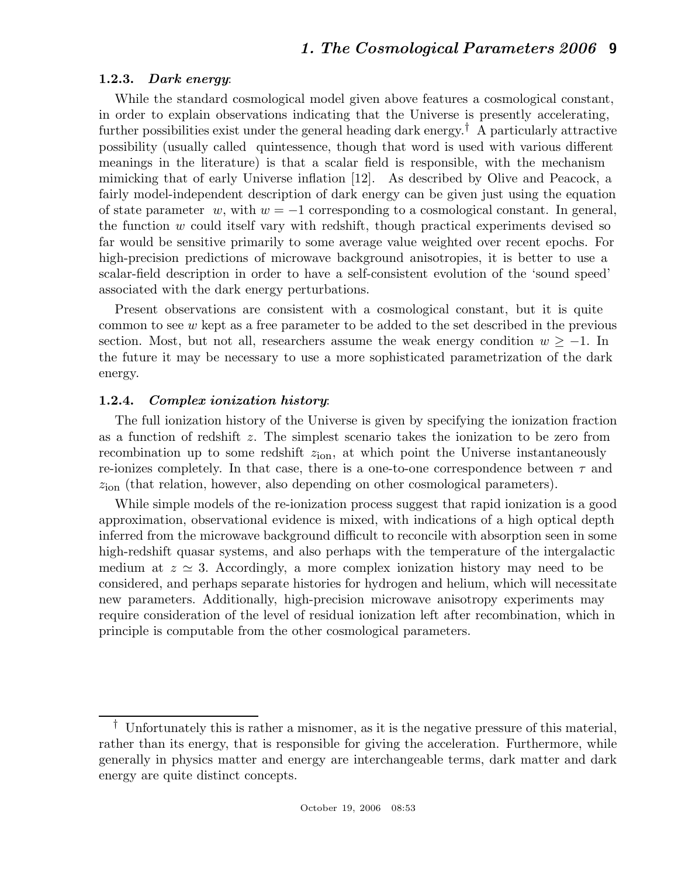## 1.2.3. Dark energy:

While the standard cosmological model given above features a cosmological constant, in order to explain observations indicating that the Universe is presently accelerating, further possibilities exist under the general heading dark energy.<sup>†</sup> A particularly attractive possibility (usually called quintessence, though that word is used with various different meanings in the literature) is that a scalar field is responsible, with the mechanism mimicking that of early Universe inflation [12]. As described by Olive and Peacock, a fairly model-independent description of dark energy can be given just using the equation of state parameter w, with  $w = -1$  corresponding to a cosmological constant. In general, the function  $w$  could itself vary with redshift, though practical experiments devised so far would be sensitive primarily to some average value weighted over recent epochs. For high-precision predictions of microwave background anisotropies, it is better to use a scalar-field description in order to have a self-consistent evolution of the 'sound speed' associated with the dark energy perturbations.

Present observations are consistent with a cosmological constant, but it is quite common to see  $w$  kept as a free parameter to be added to the set described in the previous section. Most, but not all, researchers assume the weak energy condition  $w \ge -1$ . In the future it may be necessary to use a more sophisticated parametrization of the dark energy.

## 1.2.4. Complex ionization history:

The full ionization history of the Universe is given by specifying the ionization fraction as a function of redshift z. The simplest scenario takes the ionization to be zero from recombination up to some redshift  $z<sub>ion</sub>$ , at which point the Universe instantaneously re-ionizes completely. In that case, there is a one-to-one correspondence between  $\tau$  and  $z<sub>ion</sub>$  (that relation, however, also depending on other cosmological parameters).

While simple models of the re-ionization process suggest that rapid ionization is a good approximation, observational evidence is mixed, with indications of a high optical depth inferred from the microwave background difficult to reconcile with absorption seen in some high-redshift quasar systems, and also perhaps with the temperature of the intergalactic medium at  $z \approx 3$ . Accordingly, a more complex ionization history may need to be considered, and perhaps separate histories for hydrogen and helium, which will necessitate new parameters. Additionally, high-precision microwave anisotropy experiments may require consideration of the level of residual ionization left after recombination, which in principle is computable from the other cosmological parameters.

<sup>†</sup> Unfortunately this is rather a misnomer, as it is the negative pressure of this material, rather than its energy, that is responsible for giving the acceleration. Furthermore, while generally in physics matter and energy are interchangeable terms, dark matter and dark energy are quite distinct concepts.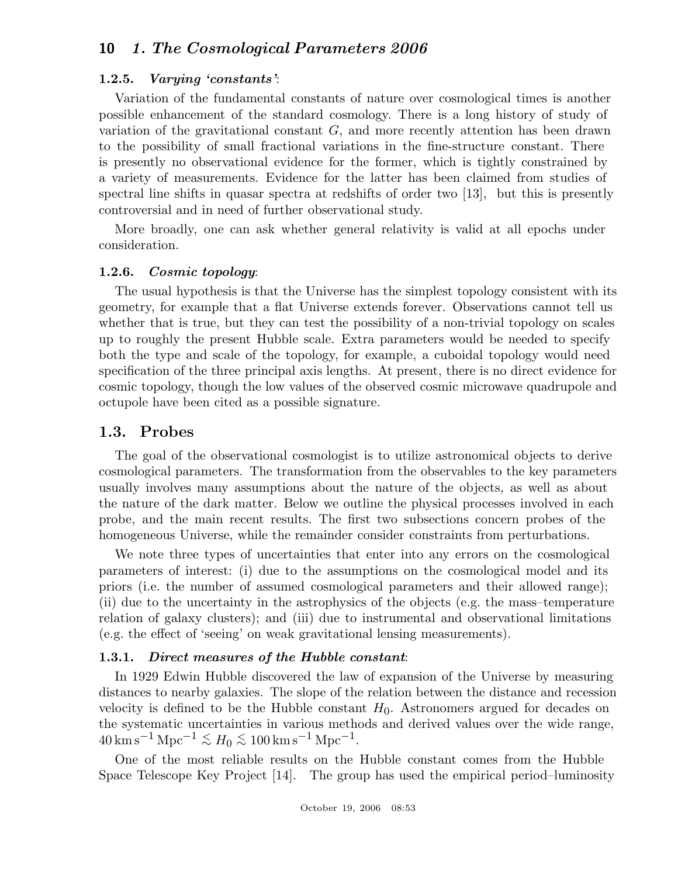#### 1.2.5. Varying 'constants':

Variation of the fundamental constants of nature over cosmological times is another possible enhancement of the standard cosmology. There is a long history of study of variation of the gravitational constant  $G$ , and more recently attention has been drawn to the possibility of small fractional variations in the fine-structure constant. There is presently no observational evidence for the former, which is tightly constrained by a variety of measurements. Evidence for the latter has been claimed from studies of spectral line shifts in quasar spectra at redshifts of order two [13], but this is presently controversial and in need of further observational study.

More broadly, one can ask whether general relativity is valid at all epochs under consideration.

#### 1.2.6. Cosmic topology:

The usual hypothesis is that the Universe has the simplest topology consistent with its geometry, for example that a flat Universe extends forever. Observations cannot tell us whether that is true, but they can test the possibility of a non-trivial topology on scales up to roughly the present Hubble scale. Extra parameters would be needed to specify both the type and scale of the topology, for example, a cuboidal topology would need specification of the three principal axis lengths. At present, there is no direct evidence for cosmic topology, though the low values of the observed cosmic microwave quadrupole and octupole have been cited as a possible signature.

## 1.3. Probes

The goal of the observational cosmologist is to utilize astronomical objects to derive cosmological parameters. The transformation from the observables to the key parameters usually involves many assumptions about the nature of the objects, as well as about the nature of the dark matter. Below we outline the physical processes involved in each probe, and the main recent results. The first two subsections concern probes of the homogeneous Universe, while the remainder consider constraints from perturbations.

We note three types of uncertainties that enter into any errors on the cosmological parameters of interest: (i) due to the assumptions on the cosmological model and its priors (i.e. the number of assumed cosmological parameters and their allowed range); (ii) due to the uncertainty in the astrophysics of the objects (e.g. the mass–temperature relation of galaxy clusters); and (iii) due to instrumental and observational limitations (e.g. the effect of 'seeing' on weak gravitational lensing measurements).

#### 1.3.1. Direct measures of the Hubble constant:

In 1929 Edwin Hubble discovered the law of expansion of the Universe by measuring distances to nearby galaxies. The slope of the relation between the distance and recession velocity is defined to be the Hubble constant  $H_0$ . Astronomers argued for decades on the systematic uncertainties in various methods and derived values over the wide range,  $40 \,\mathrm{km}\,\mathrm{s}^{-1}\,\mathrm{Mpc}^{-1} \lesssim H_0 \lesssim 100 \,\mathrm{km}\,\mathrm{s}^{-1}\,\mathrm{Mpc}^{-1}.$ 

One of the most reliable results on the Hubble constant comes from the Hubble Space Telescope Key Project [14]. The group has used the empirical period–luminosity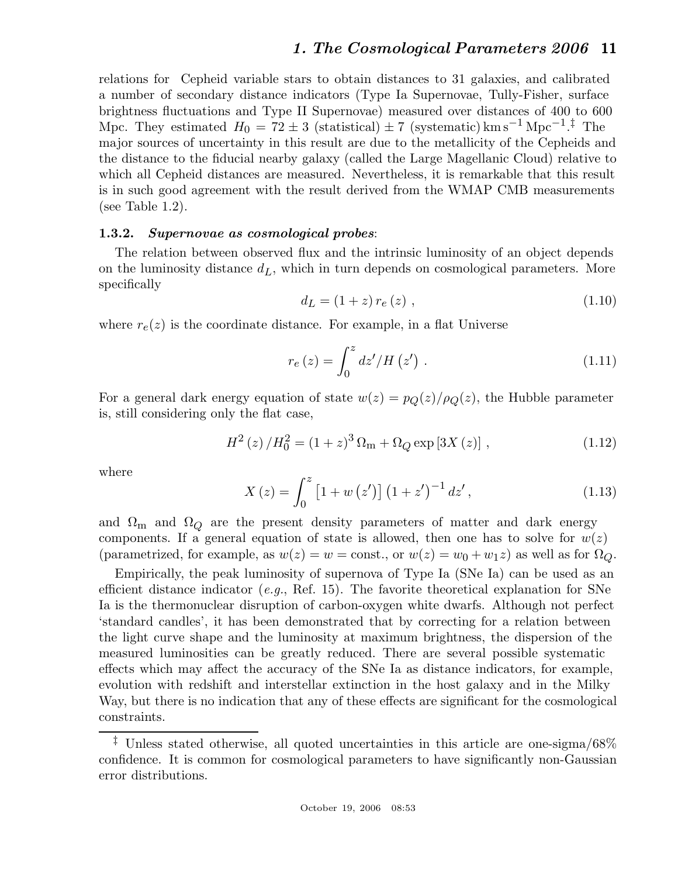relations for Cepheid variable stars to obtain distances to 31 galaxies, and calibrated a number of secondary distance indicators (Type Ia Supernovae, Tully-Fisher, surface brightness fluctuations and Type II Supernovae) measured over distances of 400 to 600 Mpc. They estimated  $H_0 = 72 \pm 3$  (statistical)  $\pm 7$  (systematic) km s<sup>-1</sup> Mpc<sup>-1</sup>.<sup>‡</sup> The major sources of uncertainty in this result are due to the metallicity of the Cepheids and the distance to the fiducial nearby galaxy (called the Large Magellanic Cloud) relative to which all Cepheid distances are measured. Nevertheless, it is remarkable that this result is in such good agreement with the result derived from the WMAP CMB measurements (see Table 1.2).

#### 1.3.2. Supernovae as cosmological probes:

The relation between observed flux and the intrinsic luminosity of an object depends on the luminosity distance  $d_L$ , which in turn depends on cosmological parameters. More specifically

$$
d_L = (1+z) r_e (z) , \t\t(1.10)
$$

where  $r_e(z)$  is the coordinate distance. For example, in a flat Universe

$$
r_e(z) = \int_0^z dz' / H(z') .
$$
 (1.11)

For a general dark energy equation of state  $w(z) = p_Q(z)/\rho_Q(z)$ , the Hubble parameter is, still considering only the flat case,

$$
H^{2}(z) / H_{0}^{2} = (1+z)^{3} \Omega_{\rm m} + \Omega_{Q} \exp[3X(z)], \qquad (1.12)
$$

where

$$
X(z) = \int_0^z \left[1 + w(z')\right] \left(1 + z'\right)^{-1} dz',\tag{1.13}
$$

and  $\Omega_{\rm m}$  and  $\Omega_{\rm O}$  are the present density parameters of matter and dark energy components. If a general equation of state is allowed, then one has to solve for  $w(z)$ (parametrized, for example, as  $w(z) = w = \text{const.}$ , or  $w(z) = w_0 + w_1 z$ ) as well as for  $\Omega_Q$ .

Empirically, the peak luminosity of supernova of Type Ia (SNe Ia) can be used as an efficient distance indicator (e.g., Ref. 15). The favorite theoretical explanation for SNe Ia is the thermonuclear disruption of carbon-oxygen white dwarfs. Although not perfect 'standard candles', it has been demonstrated that by correcting for a relation between the light curve shape and the luminosity at maximum brightness, the dispersion of the measured luminosities can be greatly reduced. There are several possible systematic effects which may affect the accuracy of the SNe Ia as distance indicators, for example, evolution with redshift and interstellar extinction in the host galaxy and in the Milky Way, but there is no indication that any of these effects are significant for the cosmological constraints.

<sup>‡</sup> Unless stated otherwise, all quoted uncertainties in this article are one-sigma/68% confidence. It is common for cosmological parameters to have significantly non-Gaussian error distributions.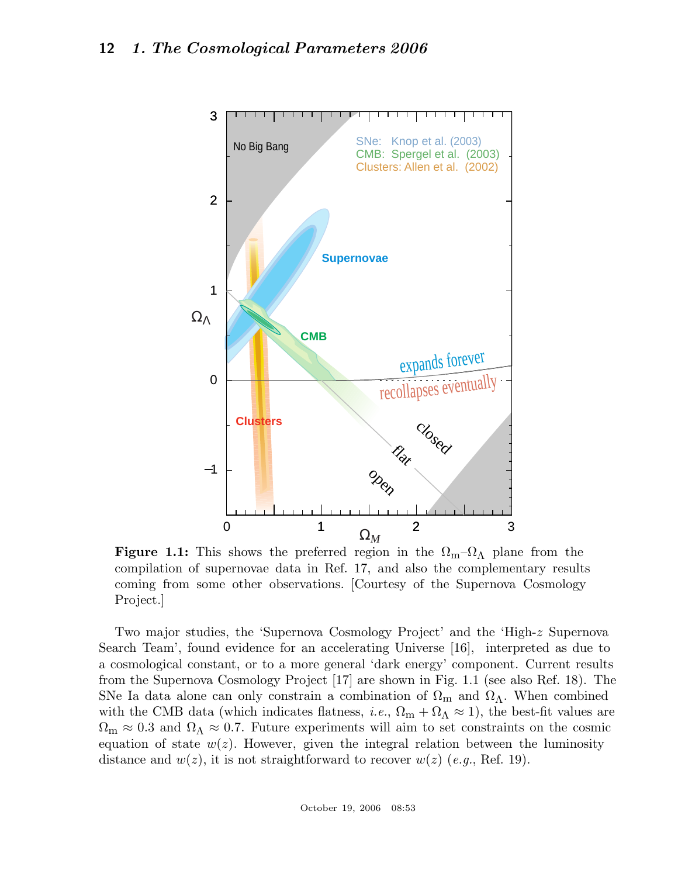

**Figure 1.1:** This shows the preferred region in the  $\Omega_{\rm m}$ – $\Omega_{\Lambda}$  plane from the compilation of supernovae data in Ref. 17, and also the complementary results coming from some other observations. [Courtesy of the Supernova Cosmology Project.]

Two major studies, the 'Supernova Cosmology Project' and the 'High-z Supernova Search Team', found evidence for an accelerating Universe [16], interpreted as due to a cosmological constant, or to a more general 'dark energy' component. Current results from the Supernova Cosmology Project [17] are shown in Fig. 1.1 (see also Ref. 18). The SNe Ia data alone can only constrain a combination of  $\Omega_{\rm m}$  and  $\Omega_{\Lambda}$ . When combined with the CMB data (which indicates flatness, *i.e.*,  $\Omega_m + \Omega_{\Lambda} \approx 1$ ), the best-fit values are  $\Omega_{\rm m} \approx 0.3$  and  $\Omega_{\Lambda} \approx 0.7$ . Future experiments will aim to set constraints on the cosmic equation of state  $w(z)$ . However, given the integral relation between the luminosity distance and  $w(z)$ , it is not straightforward to recover  $w(z)$  (e.g., Ref. 19).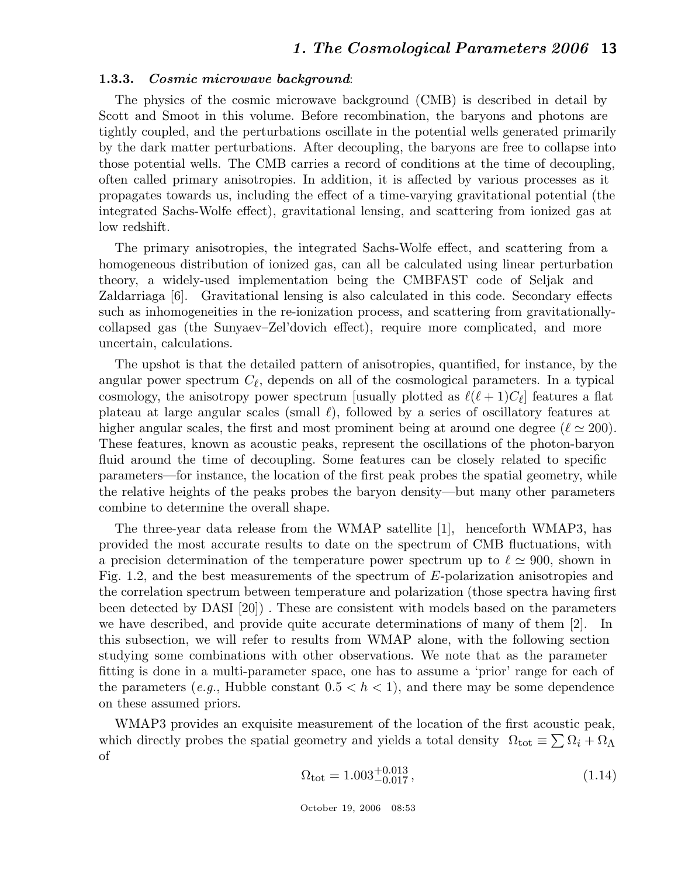#### 1.3.3. Cosmic microwave background:

The physics of the cosmic microwave background (CMB) is described in detail by Scott and Smoot in this volume. Before recombination, the baryons and photons are tightly coupled, and the perturbations oscillate in the potential wells generated primarily by the dark matter perturbations. After decoupling, the baryons are free to collapse into those potential wells. The CMB carries a record of conditions at the time of decoupling, often called primary anisotropies. In addition, it is affected by various processes as it propagates towards us, including the effect of a time-varying gravitational potential (the integrated Sachs-Wolfe effect), gravitational lensing, and scattering from ionized gas at low redshift.

The primary anisotropies, the integrated Sachs-Wolfe effect, and scattering from a homogeneous distribution of ionized gas, can all be calculated using linear perturbation theory, a widely-used implementation being the CMBFAST code of Seljak and Zaldarriaga [6]. Gravitational lensing is also calculated in this code. Secondary effects such as inhomogeneities in the re-ionization process, and scattering from gravitationallycollapsed gas (the Sunyaev–Zel'dovich effect), require more complicated, and more uncertain, calculations.

The upshot is that the detailed pattern of anisotropies, quantified, for instance, by the angular power spectrum  $C_{\ell}$ , depends on all of the cosmological parameters. In a typical cosmology, the anisotropy power spectrum [usually plotted as  $\ell(\ell+1)C_{\ell}$ ] features a flat plateau at large angular scales (small  $\ell$ ), followed by a series of oscillatory features at higher angular scales, the first and most prominent being at around one degree ( $\ell \approx 200$ ). These features, known as acoustic peaks, represent the oscillations of the photon-baryon fluid around the time of decoupling. Some features can be closely related to specific parameters—for instance, the location of the first peak probes the spatial geometry, while the relative heights of the peaks probes the baryon density—but many other parameters combine to determine the overall shape.

The three-year data release from the WMAP satellite [1], henceforth WMAP3, has provided the most accurate results to date on the spectrum of CMB fluctuations, with a precision determination of the temperature power spectrum up to  $\ell \approx 900$ , shown in Fig. 1.2, and the best measurements of the spectrum of E-polarization anisotropies and the correlation spectrum between temperature and polarization (those spectra having first been detected by DASI [20]) . These are consistent with models based on the parameters we have described, and provide quite accurate determinations of many of them [2]. In this subsection, we will refer to results from WMAP alone, with the following section studying some combinations with other observations. We note that as the parameter fitting is done in a multi-parameter space, one has to assume a 'prior' range for each of the parameters (e.g., Hubble constant  $0.5 < h < 1$ ), and there may be some dependence on these assumed priors.

WMAP3 provides an exquisite measurement of the location of the first acoustic peak, which directly probes the spatial geometry and yields a total density  $\Omega_{\text{tot}} \equiv \sum \Omega_i + \Omega_{\Lambda}$ of

$$
\Omega_{\text{tot}} = 1.003^{+0.013}_{-0.017},\tag{1.14}
$$

October 19, 2006 08:53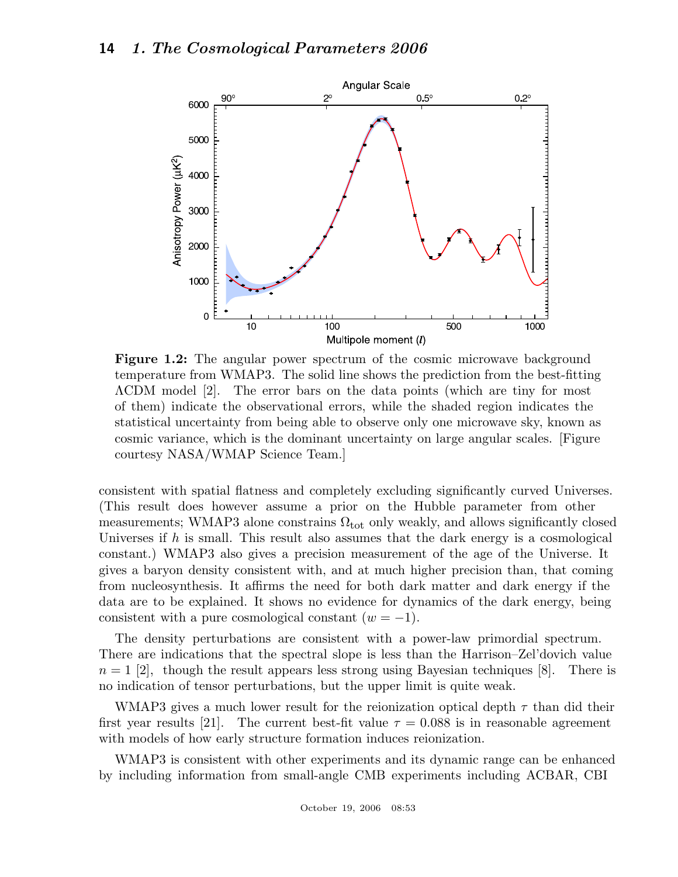

Figure 1.2: The angular power spectrum of the cosmic microwave background temperature from WMAP3. The solid line shows the prediction from the best-fitting ΛCDM model [2]. The error bars on the data points (which are tiny for most of them) indicate the observational errors, while the shaded region indicates the statistical uncertainty from being able to observe only one microwave sky, known as cosmic variance, which is the dominant uncertainty on large angular scales. [Figure courtesy NASA/WMAP Science Team.]

consistent with spatial flatness and completely excluding significantly curved Universes. (This result does however assume a prior on the Hubble parameter from other measurements; WMAP3 alone constrains  $\Omega_{\text{tot}}$  only weakly, and allows significantly closed Universes if h is small. This result also assumes that the dark energy is a cosmological constant.) WMAP3 also gives a precision measurement of the age of the Universe. It gives a baryon density consistent with, and at much higher precision than, that coming from nucleosynthesis. It affirms the need for both dark matter and dark energy if the data are to be explained. It shows no evidence for dynamics of the dark energy, being consistent with a pure cosmological constant  $(w = -1)$ .

The density perturbations are consistent with a power-law primordial spectrum. There are indications that the spectral slope is less than the Harrison–Zel'dovich value  $n = 1$  [2], though the result appears less strong using Bayesian techniques [8]. There is no indication of tensor perturbations, but the upper limit is quite weak.

WMAP3 gives a much lower result for the reionization optical depth  $\tau$  than did their first year results [21]. The current best-fit value  $\tau = 0.088$  is in reasonable agreement with models of how early structure formation induces reionization.

WMAP3 is consistent with other experiments and its dynamic range can be enhanced by including information from small-angle CMB experiments including ACBAR, CBI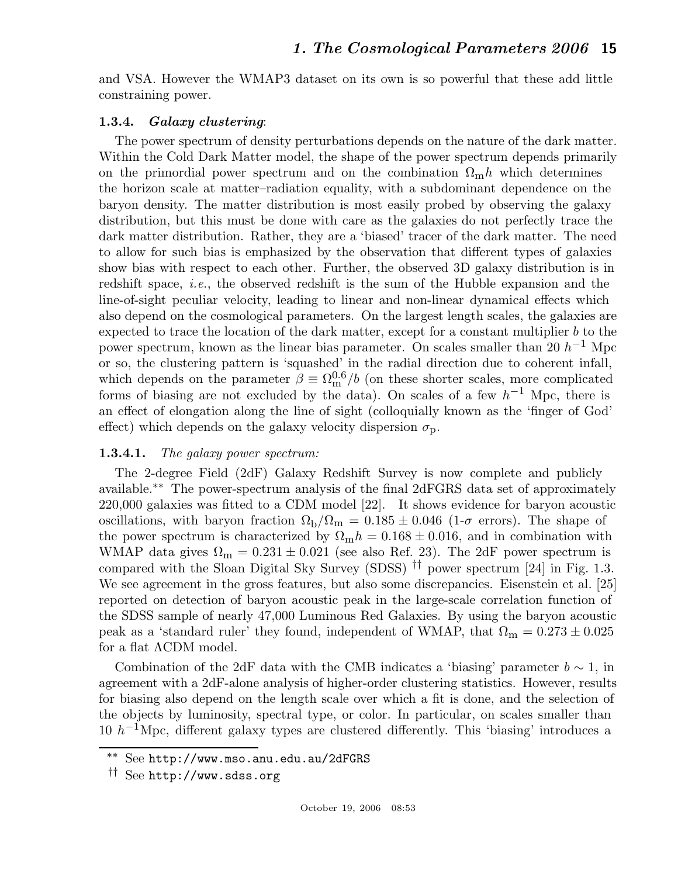and VSA. However the WMAP3 dataset on its own is so powerful that these add little constraining power.

#### 1.3.4. Galaxy clustering:

The power spectrum of density perturbations depends on the nature of the dark matter. Within the Cold Dark Matter model, the shape of the power spectrum depends primarily on the primordial power spectrum and on the combination  $\Omega_{\rm m}h$  which determines the horizon scale at matter–radiation equality, with a subdominant dependence on the baryon density. The matter distribution is most easily probed by observing the galaxy distribution, but this must be done with care as the galaxies do not perfectly trace the dark matter distribution. Rather, they are a 'biased' tracer of the dark matter. The need to allow for such bias is emphasized by the observation that different types of galaxies show bias with respect to each other. Further, the observed 3D galaxy distribution is in redshift space, i.e., the observed redshift is the sum of the Hubble expansion and the line-of-sight peculiar velocity, leading to linear and non-linear dynamical effects which also depend on the cosmological parameters. On the largest length scales, the galaxies are expected to trace the location of the dark matter, except for a constant multiplier b to the power spectrum, known as the linear bias parameter. On scales smaller than 20  $h^{-1}$  Mpc or so, the clustering pattern is 'squashed' in the radial direction due to coherent infall, which depends on the parameter  $\beta \equiv \Omega_{\rm m}^{0.6}/b$  (on these shorter scales, more complicated forms of biasing are not excluded by the data). On scales of a few  $h^{-1}$  Mpc, there is an effect of elongation along the line of sight (colloquially known as the 'finger of God' effect) which depends on the galaxy velocity dispersion  $\sigma_{\rm p}$ .

### **1.3.4.1.** The galaxy power spectrum:

The 2-degree Field (2dF) Galaxy Redshift Survey is now complete and publicly available.∗∗ The power-spectrum analysis of the final 2dFGRS data set of approximately 220,000 galaxies was fitted to a CDM model [22]. It shows evidence for baryon acoustic oscillations, with baryon fraction  $\Omega_{\rm b}/\Omega_{\rm m} = 0.185 \pm 0.046$  (1- $\sigma$  errors). The shape of the power spectrum is characterized by  $\Omega_{\rm m}h = 0.168 \pm 0.016$ , and in combination with WMAP data gives  $\Omega_{\rm m} = 0.231 \pm 0.021$  (see also Ref. 23). The 2dF power spectrum is compared with the Sloan Digital Sky Survey (SDSS) †† power spectrum [24] in Fig. 1.3. We see agreement in the gross features, but also some discrepancies. Eisenstein et al. [25] reported on detection of baryon acoustic peak in the large-scale correlation function of the SDSS sample of nearly 47,000 Luminous Red Galaxies. By using the baryon acoustic peak as a 'standard ruler' they found, independent of WMAP, that  $\Omega_{\rm m} = 0.273 \pm 0.025$ for a flat ΛCDM model.

Combination of the 2dF data with the CMB indicates a 'biasing' parameter  $b \sim 1$ , in agreement with a 2dF-alone analysis of higher-order clustering statistics. However, results for biasing also depend on the length scale over which a fit is done, and the selection of the objects by luminosity, spectral type, or color. In particular, on scales smaller than  $10 h^{-1}$ Mpc, different galaxy types are clustered differently. This 'biasing' introduces a

<sup>∗∗</sup> See http://www.mso.anu.edu.au/2dFGRS

<sup>††</sup> See http://www.sdss.org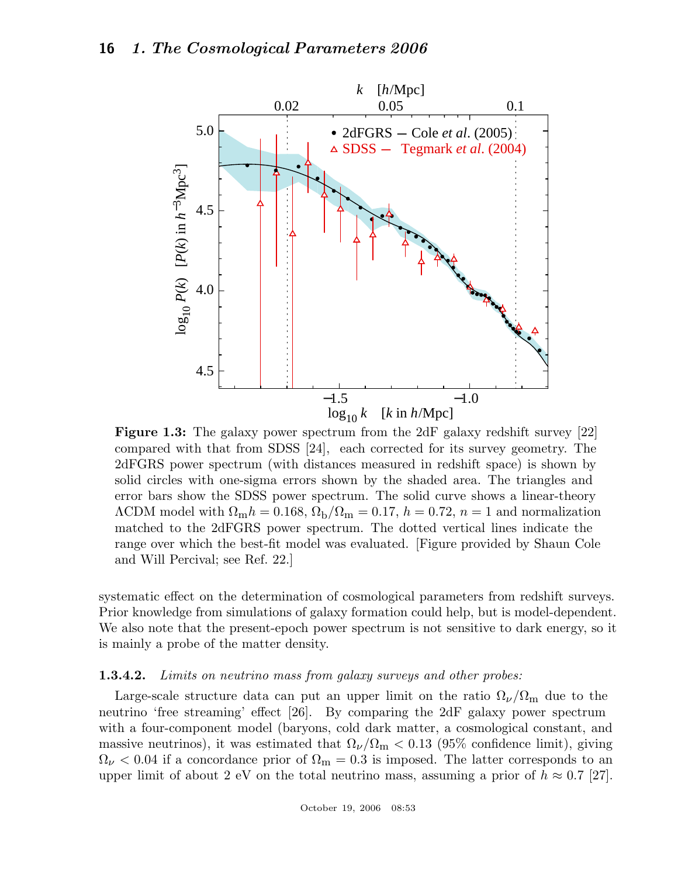

Figure 1.3: The galaxy power spectrum from the 2dF galaxy redshift survey [22] compared with that from SDSS [24], each corrected for its survey geometry. The 2dFGRS power spectrum (with distances measured in redshift space) is shown by solid circles with one-sigma errors shown by the shaded area. The triangles and error bars show the SDSS power spectrum. The solid curve shows a linear-theory  $\Lambda$ CDM model with  $\Omega_{\rm m}h = 0.168$ ,  $\Omega_{\rm b}/\Omega_{\rm m} = 0.17$ ,  $h = 0.72$ ,  $n = 1$  and normalization matched to the 2dFGRS power spectrum. The dotted vertical lines indicate the range over which the best-fit model was evaluated. [Figure provided by Shaun Cole and Will Percival; see Ref. 22.]

systematic effect on the determination of cosmological parameters from redshift surveys. Prior knowledge from simulations of galaxy formation could help, but is model-dependent. We also note that the present-epoch power spectrum is not sensitive to dark energy, so it is mainly a probe of the matter density.

#### **1.3.4.2.** Limits on neutrino mass from galaxy surveys and other probes:

Large-scale structure data can put an upper limit on the ratio  $\Omega_{\nu}/\Omega_{\rm m}$  due to the neutrino 'free streaming' effect [26]. By comparing the 2dF galaxy power spectrum with a four-component model (baryons, cold dark matter, a cosmological constant, and massive neutrinos), it was estimated that  $\Omega_{\nu}/\Omega_{\rm m}$  < 0.13 (95% confidence limit), giving  $\Omega_{\nu}$  < 0.04 if a concordance prior of  $\Omega_{\rm m} = 0.3$  is imposed. The latter corresponds to an upper limit of about 2 eV on the total neutrino mass, assuming a prior of  $h \approx 0.7$  [27].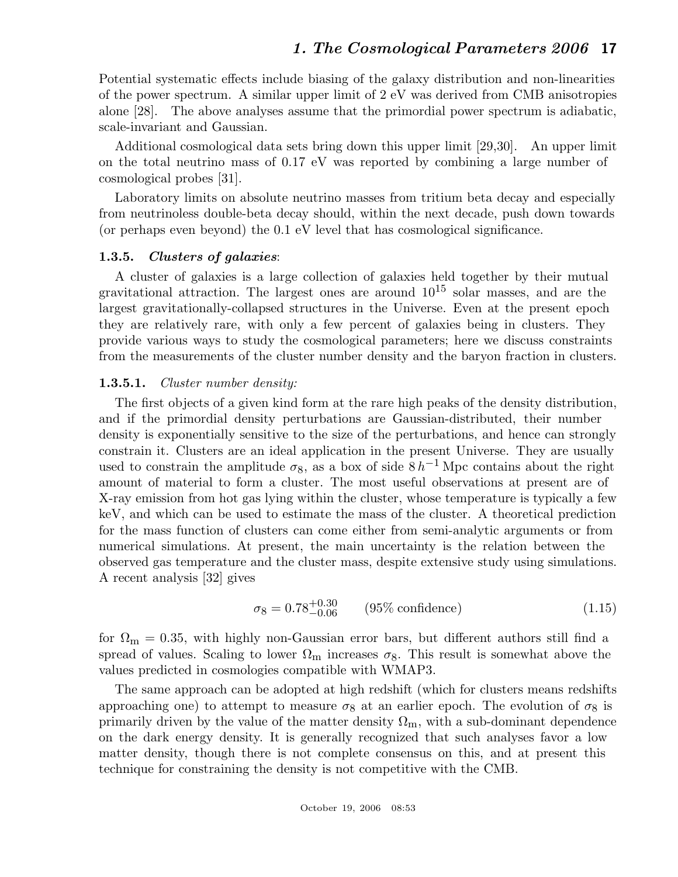Potential systematic effects include biasing of the galaxy distribution and non-linearities of the power spectrum. A similar upper limit of 2 eV was derived from CMB anisotropies alone [28]. The above analyses assume that the primordial power spectrum is adiabatic, scale-invariant and Gaussian.

Additional cosmological data sets bring down this upper limit [29,30]. An upper limit on the total neutrino mass of 0.17 eV was reported by combining a large number of cosmological probes [31].

Laboratory limits on absolute neutrino masses from tritium beta decay and especially from neutrinoless double-beta decay should, within the next decade, push down towards (or perhaps even beyond) the 0.1 eV level that has cosmological significance.

#### 1.3.5. Clusters of galaxies:

A cluster of galaxies is a large collection of galaxies held together by their mutual gravitational attraction. The largest ones are around  $10^{15}$  solar masses, and are the largest gravitationally-collapsed structures in the Universe. Even at the present epoch they are relatively rare, with only a few percent of galaxies being in clusters. They provide various ways to study the cosmological parameters; here we discuss constraints from the measurements of the cluster number density and the baryon fraction in clusters.

#### **1.3.5.1.** Cluster number density:

The first objects of a given kind form at the rare high peaks of the density distribution, and if the primordial density perturbations are Gaussian-distributed, their number density is exponentially sensitive to the size of the perturbations, and hence can strongly constrain it. Clusters are an ideal application in the present Universe. They are usually used to constrain the amplitude  $\sigma_8$ , as a box of side  $8 h^{-1}$  Mpc contains about the right amount of material to form a cluster. The most useful observations at present are of X-ray emission from hot gas lying within the cluster, whose temperature is typically a few keV, and which can be used to estimate the mass of the cluster. A theoretical prediction for the mass function of clusters can come either from semi-analytic arguments or from numerical simulations. At present, the main uncertainty is the relation between the observed gas temperature and the cluster mass, despite extensive study using simulations. A recent analysis [32] gives

$$
\sigma_8 = 0.78^{+0.30}_{-0.06} \qquad (95\% \text{ confidence})
$$
\n(1.15)

for  $\Omega_{\rm m} = 0.35$ , with highly non-Gaussian error bars, but different authors still find a spread of values. Scaling to lower  $\Omega_{\rm m}$  increases  $\sigma_8$ . This result is somewhat above the values predicted in cosmologies compatible with WMAP3.

The same approach can be adopted at high redshift (which for clusters means redshifts approaching one) to attempt to measure  $\sigma_8$  at an earlier epoch. The evolution of  $\sigma_8$  is primarily driven by the value of the matter density  $\Omega_{\rm m}$ , with a sub-dominant dependence on the dark energy density. It is generally recognized that such analyses favor a low matter density, though there is not complete consensus on this, and at present this technique for constraining the density is not competitive with the CMB.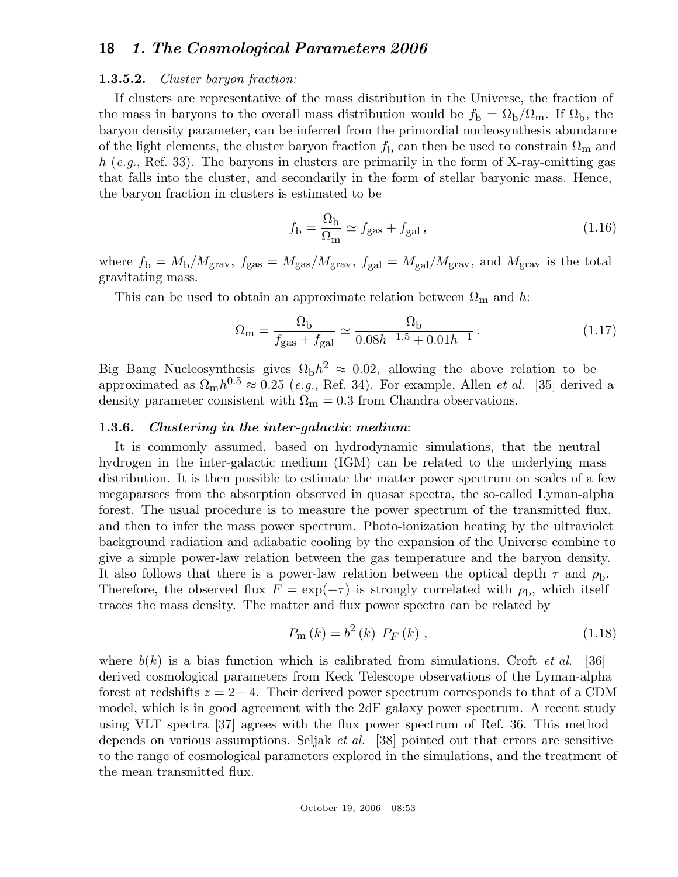#### **1.3.5.2.** Cluster baryon fraction:

If clusters are representative of the mass distribution in the Universe, the fraction of the mass in baryons to the overall mass distribution would be  $f_{\rm b} = \Omega_{\rm b}/\Omega_{\rm m}$ . If  $\Omega_{\rm b}$ , the baryon density parameter, can be inferred from the primordial nucleosynthesis abundance of the light elements, the cluster baryon fraction  $f<sub>b</sub>$  can then be used to constrain  $\Omega<sub>m</sub>$  and h (e.g., Ref. 33). The baryons in clusters are primarily in the form of X-ray-emitting gas that falls into the cluster, and secondarily in the form of stellar baryonic mass. Hence, the baryon fraction in clusters is estimated to be

$$
f_{\rm b} = \frac{\Omega_{\rm b}}{\Omega_{\rm m}} \simeq f_{\rm gas} + f_{\rm gal} \,, \tag{1.16}
$$

where  $f_{\rm b} = M_{\rm b}/M_{\rm grav}$ ,  $f_{\rm gas} = M_{\rm gas}/M_{\rm grav}$ ,  $f_{\rm gal} = M_{\rm gal}/M_{\rm grav}$ , and  $M_{\rm grav}$  is the total gravitating mass.

This can be used to obtain an approximate relation between  $\Omega_{\rm m}$  and h:

$$
\Omega_{\rm m} = \frac{\Omega_{\rm b}}{f_{\rm gas} + f_{\rm gal}} \simeq \frac{\Omega_{\rm b}}{0.08h^{-1.5} + 0.01h^{-1}}.
$$
\n(1.17)

Big Bang Nucleosynthesis gives  $\Omega_{\rm b}h^2 \approx 0.02$ , allowing the above relation to be approximated as  $\Omega_{\rm m}h^{0.5} \approx 0.25$  (*e.g.*, Ref. 34). For example, Allen *et al.* [35] derived a density parameter consistent with  $\Omega_{\rm m} = 0.3$  from Chandra observations.

#### 1.3.6. Clustering in the inter-galactic medium:

It is commonly assumed, based on hydrodynamic simulations, that the neutral hydrogen in the inter-galactic medium (IGM) can be related to the underlying mass distribution. It is then possible to estimate the matter power spectrum on scales of a few megaparsecs from the absorption observed in quasar spectra, the so-called Lyman-alpha forest. The usual procedure is to measure the power spectrum of the transmitted flux, and then to infer the mass power spectrum. Photo-ionization heating by the ultraviolet background radiation and adiabatic cooling by the expansion of the Universe combine to give a simple power-law relation between the gas temperature and the baryon density. It also follows that there is a power-law relation between the optical depth  $\tau$  and  $\rho_{\rm b}$ . Therefore, the observed flux  $F = \exp(-\tau)$  is strongly correlated with  $\rho_{\rm b}$ , which itself traces the mass density. The matter and flux power spectra can be related by

$$
P_{\rm m}(k) = b^2(k) \, P_F(k) \,, \tag{1.18}
$$

where  $b(k)$  is a bias function which is calibrated from simulations. Croft *et al.* [36] derived cosmological parameters from Keck Telescope observations of the Lyman-alpha forest at redshifts  $z = 2 - 4$ . Their derived power spectrum corresponds to that of a CDM model, which is in good agreement with the 2dF galaxy power spectrum. A recent study using VLT spectra [37] agrees with the flux power spectrum of Ref. 36. This method depends on various assumptions. Seljak *et al.* [38] pointed out that errors are sensitive to the range of cosmological parameters explored in the simulations, and the treatment of the mean transmitted flux.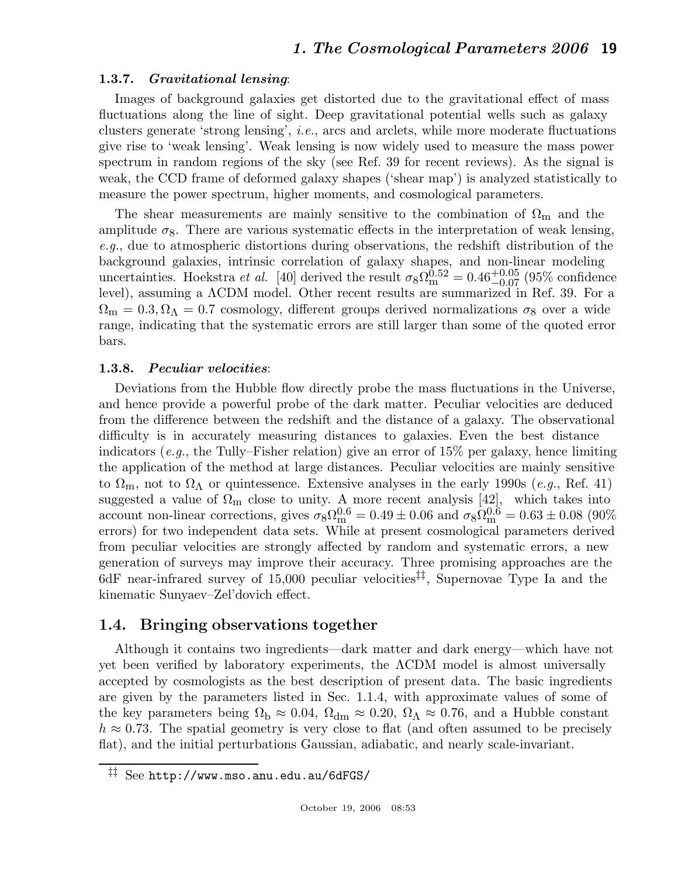#### 1.3.7. Gravitational lensing:

Images of background galaxies get distorted due to the gravitational effect of mass fluctuations along the line of sight. Deep gravitational potential wells such as galaxy clusters generate 'strong lensing', i.e., arcs and arclets, while more moderate fluctuations give rise to 'weak lensing'. Weak lensing is now widely used to measure the mass power spectrum in random regions of the sky (see Ref. 39 for recent reviews). As the signal is weak, the CCD frame of deformed galaxy shapes ('shear map') is analyzed statistically to measure the power spectrum, higher moments, and cosmological parameters.

The shear measurements are mainly sensitive to the combination of  $\Omega_{\rm m}$  and the amplitude  $\sigma_8$ . There are various systematic effects in the interpretation of weak lensing, e.g., due to atmospheric distortions during observations, the redshift distribution of the background galaxies, intrinsic correlation of galaxy shapes, and non-linear modeling uncertainties. Hoekstra *et al.* [40] derived the result  $\sigma_8 \Omega_{\rm m}^{0.52} = 0.46_{-0.07}^{+0.05}$  (95% confidence level), assuming a ΛCDM model. Other recent results are summarized in Ref. 39. For a  $\Omega_{\rm m} = 0.3, \Omega_{\Lambda} = 0.7$  cosmology, different groups derived normalizations  $\sigma_8$  over a wide range, indicating that the systematic errors are still larger than some of the quoted error bars.

#### 1.3.8. Peculiar velocities:

Deviations from the Hubble flow directly probe the mass fluctuations in the Universe, and hence provide a powerful probe of the dark matter. Peculiar velocities are deduced from the difference between the redshift and the distance of a galaxy. The observational difficulty is in accurately measuring distances to galaxies. Even the best distance indicators (e.g., the Tully–Fisher relation) give an error of  $15\%$  per galaxy, hence limiting the application of the method at large distances. Peculiar velocities are mainly sensitive to  $\Omega_{\rm m}$ , not to  $\Omega_{\Lambda}$  or quintessence. Extensive analyses in the early 1990s (e.g., Ref. 41) suggested a value of  $\Omega_{\rm m}$  close to unity. A more recent analysis [42], which takes into account non-linear corrections, gives  $\sigma_8 \Omega_{\rm m}^{0.6} = 0.49 \pm 0.06$  and  $\sigma_8 \Omega_{\rm m}^{0.6} = 0.63 \pm 0.08$  (90%) errors) for two independent data sets. While at present cosmological parameters derived from peculiar velocities are strongly affected by random and systematic errors, a new generation of surveys may improve their accuracy. Three promising approaches are the 6dF near-infrared survey of 15,000 peculiar velocities<sup> $\ddagger\ddagger$ </sup>, Supernovae Type Ia and the kinematic Sunyaev–Zel'dovich effect.

## 1.4. Bringing observations together

Although it contains two ingredients—dark matter and dark energy—which have not yet been verified by laboratory experiments, the ΛCDM model is almost universally accepted by cosmologists as the best description of present data. The basic ingredients are given by the parameters listed in Sec. 1.1.4, with approximate values of some of the key parameters being  $\Omega_{\rm b} \approx 0.04$ ,  $\Omega_{\rm dm} \approx 0.20$ ,  $\Omega_{\Lambda} \approx 0.76$ , and a Hubble constant  $h \approx 0.73$ . The spatial geometry is very close to flat (and often assumed to be precisely flat), and the initial perturbations Gaussian, adiabatic, and nearly scale-invariant.

<sup>‡‡</sup> See http://www.mso.anu.edu.au/6dFGS/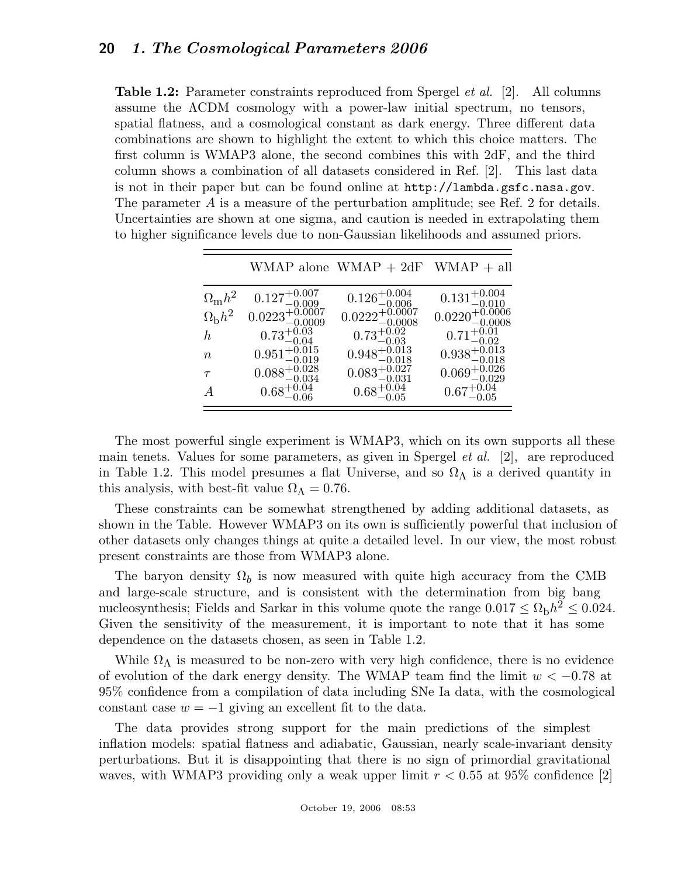**Table 1.2:** Parameter constraints reproduced from Spergel *et al.* [2]. All columns assume the ΛCDM cosmology with a power-law initial spectrum, no tensors, spatial flatness, and a cosmological constant as dark energy. Three different data combinations are shown to highlight the extent to which this choice matters. The first column is WMAP3 alone, the second combines this with 2dF, and the third column shows a combination of all datasets considered in Ref. [2]. This last data is not in their paper but can be found online at http://lambda.gsfc.nasa.gov. The parameter A is a measure of the perturbation amplitude; see Ref. 2 for details. Uncertainties are shown at one sigma, and caution is needed in extrapolating them to higher significance levels due to non-Gaussian likelihoods and assumed priors.

|                                                                     |                                                                                                                                                        | WMAP alone WMAP + $2dF$ WMAP + all                                                                                                                     |                                                                                                                                                        |
|---------------------------------------------------------------------|--------------------------------------------------------------------------------------------------------------------------------------------------------|--------------------------------------------------------------------------------------------------------------------------------------------------------|--------------------------------------------------------------------------------------------------------------------------------------------------------|
| $\Omega_{\rm m}h^2$<br>$\Omega_{\rm b}h^2$<br>h<br>$\, n$<br>$\tau$ | $0.127^{+0.007}_{-0.009}$<br>$0.0223^{+0.0007}_{-0.0009}$<br>$0.73^{+0.03}_{-0.04}$<br>$0.951\substack{+0.015 \\ -0.019}$<br>$0.088^{+0.028}_{-0.034}$ | $0.126^{+0.004}_{-0.006}$<br>$0.0222^{+0.0007}_{-0.0008}$<br>$0.73^{+0.02}_{-0.03}$<br>$0.948\substack{+0.013 \\ -0.018}$<br>$0.083^{+0.027}_{-0.031}$ | $0.131_{-0.010}^{+0.004}$<br>$0.0220^{+0.0006}_{-0.0008}$<br>$0.71^{+0.01}_{-0.02}$<br>$0.938\substack{+0.013 \\ -0.018}$<br>$0.069^{+0.026}_{-0.029}$ |
| $\overline{A}$                                                      | $0.68^{+0.04}_{-0.06}$                                                                                                                                 | $0.68^{+0.04}_{-0.05}$                                                                                                                                 | $0.67^{+0.04}_{-0.05}$                                                                                                                                 |

The most powerful single experiment is WMAP3, which on its own supports all these main tenets. Values for some parameters, as given in Spergel *et al.* [2], are reproduced in Table 1.2. This model presumes a flat Universe, and so  $\Omega_{\Lambda}$  is a derived quantity in this analysis, with best-fit value  $\Omega_{\Lambda} = 0.76$ .

These constraints can be somewhat strengthened by adding additional datasets, as shown in the Table. However WMAP3 on its own is sufficiently powerful that inclusion of other datasets only changes things at quite a detailed level. In our view, the most robust present constraints are those from WMAP3 alone.

The baryon density  $\Omega_b$  is now measured with quite high accuracy from the CMB and large-scale structure, and is consistent with the determination from big bang nucleosynthesis; Fields and Sarkar in this volume quote the range  $0.017 \le \Omega_{\rm b} h^2 \le 0.024$ . Given the sensitivity of the measurement, it is important to note that it has some dependence on the datasets chosen, as seen in Table 1.2.

While  $\Omega_{\Lambda}$  is measured to be non-zero with very high confidence, there is no evidence of evolution of the dark energy density. The WMAP team find the limit  $w < -0.78$  at 95% confidence from a compilation of data including SNe Ia data, with the cosmological constant case  $w = -1$  giving an excellent fit to the data.

The data provides strong support for the main predictions of the simplest inflation models: spatial flatness and adiabatic, Gaussian, nearly scale-invariant density perturbations. But it is disappointing that there is no sign of primordial gravitational waves, with WMAP3 providing only a weak upper limit  $r < 0.55$  at 95% confidence [2]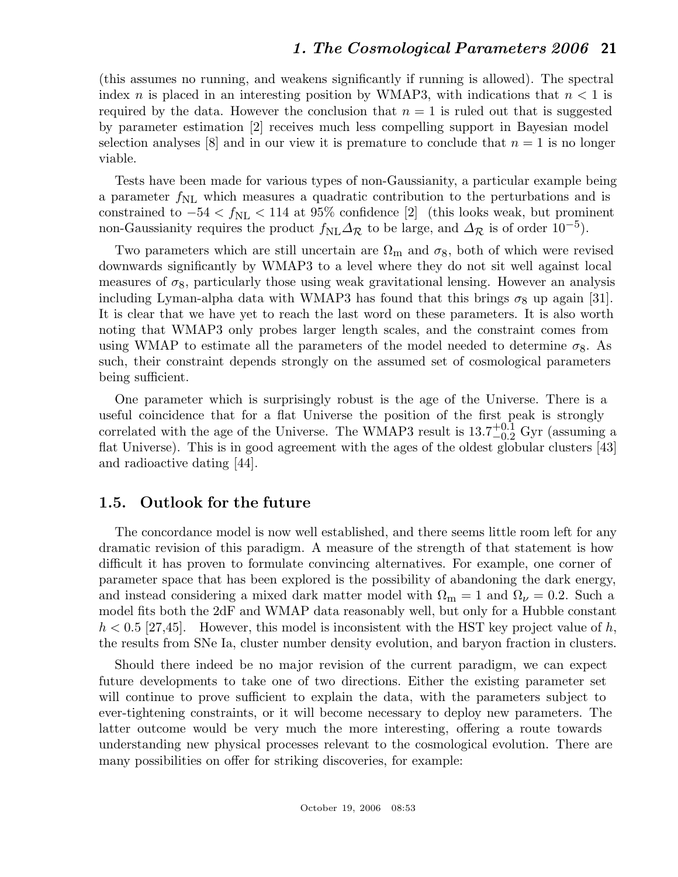(this assumes no running, and weakens significantly if running is allowed). The spectral index n is placed in an interesting position by WMAP3, with indications that  $n < 1$  is required by the data. However the conclusion that  $n = 1$  is ruled out that is suggested by parameter estimation [2] receives much less compelling support in Bayesian model selection analyses [8] and in our view it is premature to conclude that  $n = 1$  is no longer viable.

Tests have been made for various types of non-Gaussianity, a particular example being a parameter  $f_{\rm NL}$  which measures a quadratic contribution to the perturbations and is constrained to  $-54 < f_{\text{NL}} < 114$  at 95% confidence [2] (this looks weak, but prominent non-Gaussianity requires the product  $f_{\rm NL}\Delta_{\mathcal{R}}$  to be large, and  $\Delta_{\mathcal{R}}$  is of order  $10^{-5}$ ).

Two parameters which are still uncertain are  $\Omega_{\rm m}$  and  $\sigma_8$ , both of which were revised downwards significantly by WMAP3 to a level where they do not sit well against local measures of  $\sigma_8$ , particularly those using weak gravitational lensing. However an analysis including Lyman-alpha data with WMAP3 has found that this brings  $\sigma_8$  up again [31]. It is clear that we have yet to reach the last word on these parameters. It is also worth noting that WMAP3 only probes larger length scales, and the constraint comes from using WMAP to estimate all the parameters of the model needed to determine  $\sigma_8$ . As such, their constraint depends strongly on the assumed set of cosmological parameters being sufficient.

One parameter which is surprisingly robust is the age of the Universe. There is a useful coincidence that for a flat Universe the position of the first peak is strongly correlated with the age of the Universe. The WMAP3 result is  $13.7^{+0.1}_{-0.2}$  Gyr (assuming a flat Universe). This is in good agreement with the ages of the oldest globular clusters [43] and radioactive dating [44].

## 1.5. Outlook for the future

The concordance model is now well established, and there seems little room left for any dramatic revision of this paradigm. A measure of the strength of that statement is how difficult it has proven to formulate convincing alternatives. For example, one corner of parameter space that has been explored is the possibility of abandoning the dark energy, and instead considering a mixed dark matter model with  $\Omega_{\rm m} = 1$  and  $\Omega_{\nu} = 0.2$ . Such a model fits both the 2dF and WMAP data reasonably well, but only for a Hubble constant  $h < 0.5$  [27,45]. However, this model is inconsistent with the HST key project value of h, the results from SNe Ia, cluster number density evolution, and baryon fraction in clusters.

Should there indeed be no major revision of the current paradigm, we can expect future developments to take one of two directions. Either the existing parameter set will continue to prove sufficient to explain the data, with the parameters subject to ever-tightening constraints, or it will become necessary to deploy new parameters. The latter outcome would be very much the more interesting, offering a route towards understanding new physical processes relevant to the cosmological evolution. There are many possibilities on offer for striking discoveries, for example: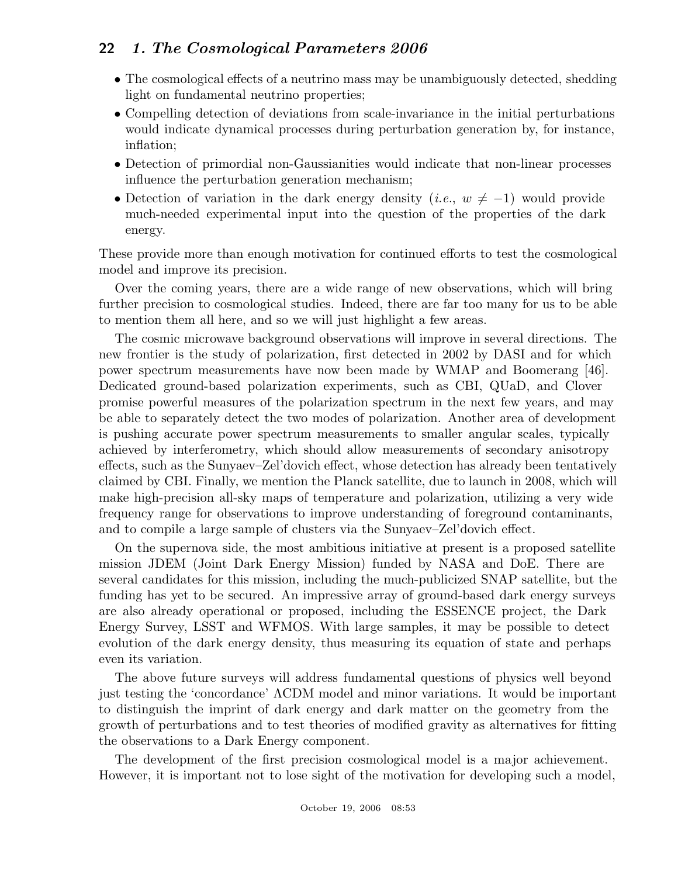- The cosmological effects of a neutrino mass may be unambiguously detected, shedding light on fundamental neutrino properties;
- Compelling detection of deviations from scale-invariance in the initial perturbations would indicate dynamical processes during perturbation generation by, for instance, inflation;
- Detection of primordial non-Gaussianities would indicate that non-linear processes influence the perturbation generation mechanism;
- Detection of variation in the dark energy density (*i.e.*,  $w \neq -1$ ) would provide much-needed experimental input into the question of the properties of the dark energy.

These provide more than enough motivation for continued efforts to test the cosmological model and improve its precision.

Over the coming years, there are a wide range of new observations, which will bring further precision to cosmological studies. Indeed, there are far too many for us to be able to mention them all here, and so we will just highlight a few areas.

The cosmic microwave background observations will improve in several directions. The new frontier is the study of polarization, first detected in 2002 by DASI and for which power spectrum measurements have now been made by WMAP and Boomerang [46]. Dedicated ground-based polarization experiments, such as CBI, QUaD, and Clover promise powerful measures of the polarization spectrum in the next few years, and may be able to separately detect the two modes of polarization. Another area of development is pushing accurate power spectrum measurements to smaller angular scales, typically achieved by interferometry, which should allow measurements of secondary anisotropy effects, such as the Sunyaev–Zel'dovich effect, whose detection has already been tentatively claimed by CBI. Finally, we mention the Planck satellite, due to launch in 2008, which will make high-precision all-sky maps of temperature and polarization, utilizing a very wide frequency range for observations to improve understanding of foreground contaminants, and to compile a large sample of clusters via the Sunyaev–Zel'dovich effect.

On the supernova side, the most ambitious initiative at present is a proposed satellite mission JDEM (Joint Dark Energy Mission) funded by NASA and DoE. There are several candidates for this mission, including the much-publicized SNAP satellite, but the funding has yet to be secured. An impressive array of ground-based dark energy surveys are also already operational or proposed, including the ESSENCE project, the Dark Energy Survey, LSST and WFMOS. With large samples, it may be possible to detect evolution of the dark energy density, thus measuring its equation of state and perhaps even its variation.

The above future surveys will address fundamental questions of physics well beyond just testing the 'concordance' ΛCDM model and minor variations. It would be important to distinguish the imprint of dark energy and dark matter on the geometry from the growth of perturbations and to test theories of modified gravity as alternatives for fitting the observations to a Dark Energy component.

The development of the first precision cosmological model is a major achievement. However, it is important not to lose sight of the motivation for developing such a model,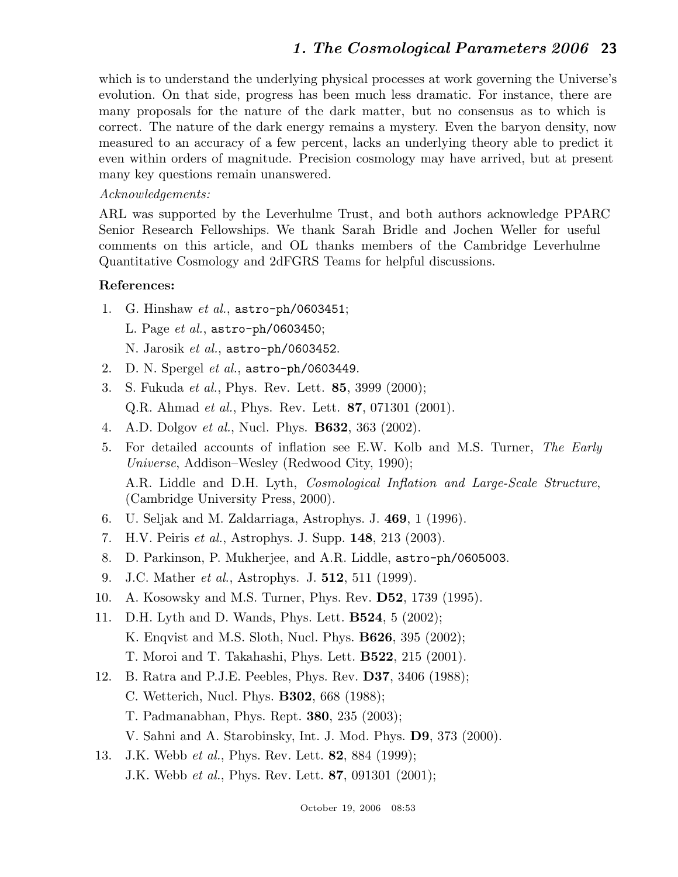which is to understand the underlying physical processes at work governing the Universe's evolution. On that side, progress has been much less dramatic. For instance, there are many proposals for the nature of the dark matter, but no consensus as to which is correct. The nature of the dark energy remains a mystery. Even the baryon density, now measured to an accuracy of a few percent, lacks an underlying theory able to predict it even within orders of magnitude. Precision cosmology may have arrived, but at present many key questions remain unanswered.

## Acknowledgements:

ARL was supported by the Leverhulme Trust, and both authors acknowledge PPARC Senior Research Fellowships. We thank Sarah Bridle and Jochen Weller for useful comments on this article, and OL thanks members of the Cambridge Leverhulme Quantitative Cosmology and 2dFGRS Teams for helpful discussions.

## References:

- 1. G. Hinshaw et al., astro-ph/0603451;
	- L. Page et al., astro-ph/0603450;
	- N. Jarosik et al., astro-ph/0603452.
- 2. D. N. Spergel et al., astro-ph/0603449.
- 3. S. Fukuda et al., Phys. Rev. Lett. 85, 3999 (2000); Q.R. Ahmad et al., Phys. Rev. Lett. 87, 071301 (2001).
- 4. A.D. Dolgov et al., Nucl. Phys. B632, 363 (2002).
- 5. For detailed accounts of inflation see E.W. Kolb and M.S. Turner, The Early Universe, Addison–Wesley (Redwood City, 1990); A.R. Liddle and D.H. Lyth, Cosmological Inflation and Large-Scale Structure, (Cambridge University Press, 2000).
- 6. U. Seljak and M. Zaldarriaga, Astrophys. J. 469, 1 (1996).
- 7. H.V. Peiris et al., Astrophys. J. Supp. 148, 213 (2003).
- 8. D. Parkinson, P. Mukherjee, and A.R. Liddle, astro-ph/0605003.
- 9. J.C. Mather et al., Astrophys. J. 512, 511 (1999).
- 10. A. Kosowsky and M.S. Turner, Phys. Rev. D52, 1739 (1995).
- 11. D.H. Lyth and D. Wands, Phys. Lett. B524, 5 (2002); K. Enqvist and M.S. Sloth, Nucl. Phys. B626, 395 (2002); T. Moroi and T. Takahashi, Phys. Lett. B522, 215 (2001).
- 12. B. Ratra and P.J.E. Peebles, Phys. Rev. D37, 3406 (1988);
	- C. Wetterich, Nucl. Phys. B302, 668 (1988);
	- T. Padmanabhan, Phys. Rept. 380, 235 (2003);
	- V. Sahni and A. Starobinsky, Int. J. Mod. Phys. D9, 373 (2000).
- 13. J.K. Webb et al., Phys. Rev. Lett. 82, 884 (1999); J.K. Webb et al., Phys. Rev. Lett. 87, 091301 (2001);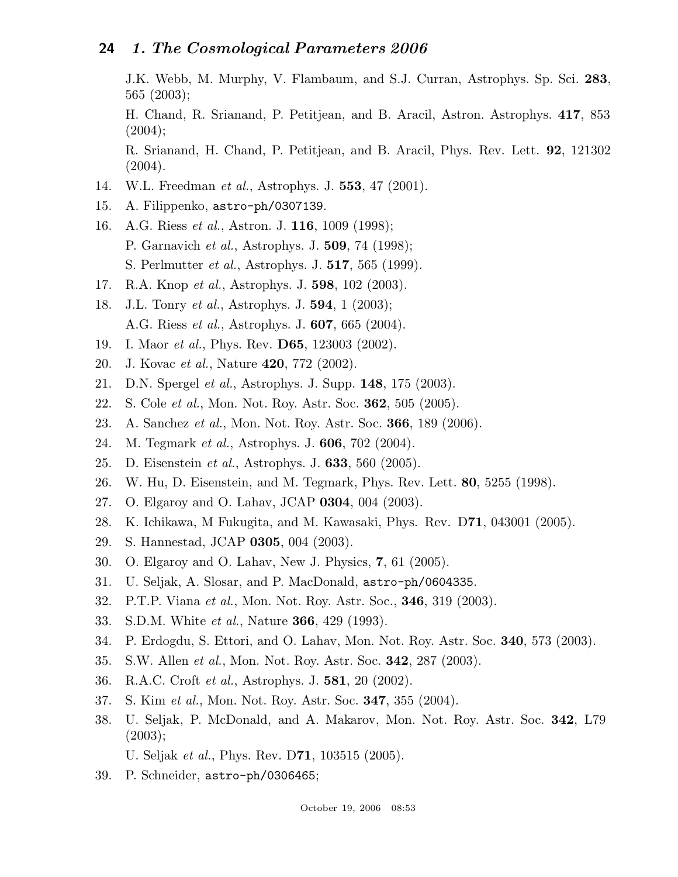J.K. Webb, M. Murphy, V. Flambaum, and S.J. Curran, Astrophys. Sp. Sci. 283, 565 (2003);

H. Chand, R. Srianand, P. Petitjean, and B. Aracil, Astron. Astrophys. 417, 853 (2004);

R. Srianand, H. Chand, P. Petitjean, and B. Aracil, Phys. Rev. Lett. 92, 121302  $(2004).$ 

- 14. W.L. Freedman et al., Astrophys. J. 553, 47 (2001).
- 15. A. Filippenko, astro-ph/0307139.
- 16. A.G. Riess et al., Astron. J. 116, 1009 (1998); P. Garnavich et al., Astrophys. J. 509, 74 (1998); S. Perlmutter et al., Astrophys. J. 517, 565 (1999).
- 17. R.A. Knop et al., Astrophys. J. 598, 102 (2003).
- 18. J.L. Tonry et al., Astrophys. J. 594, 1 (2003); A.G. Riess et al., Astrophys. J. 607, 665 (2004).
- 19. I. Maor et al., Phys. Rev. D65, 123003 (2002).
- 20. J. Kovac et al., Nature **420**, 772 (2002).
- 21. D.N. Spergel et al., Astrophys. J. Supp. 148, 175 (2003).
- 22. S. Cole et al., Mon. Not. Roy. Astr. Soc. 362, 505 (2005).
- 23. A. Sanchez et al., Mon. Not. Roy. Astr. Soc. 366, 189 (2006).
- 24. M. Tegmark et al., Astrophys. J. 606, 702 (2004).
- 25. D. Eisenstein et al., Astrophys. J. 633, 560 (2005).
- 26. W. Hu, D. Eisenstein, and M. Tegmark, Phys. Rev. Lett. 80, 5255 (1998).
- 27. O. Elgaroy and O. Lahav, JCAP 0304, 004 (2003).
- 28. K. Ichikawa, M Fukugita, and M. Kawasaki, Phys. Rev. D71, 043001 (2005).
- 29. S. Hannestad, JCAP 0305, 004 (2003).
- 30. O. Elgaroy and O. Lahav, New J. Physics, 7, 61 (2005).
- 31. U. Seljak, A. Slosar, and P. MacDonald, astro-ph/0604335.
- 32. P.T.P. Viana et al., Mon. Not. Roy. Astr. Soc., 346, 319 (2003).
- 33. S.D.M. White et al., Nature 366, 429 (1993).
- 34. P. Erdogdu, S. Ettori, and O. Lahav, Mon. Not. Roy. Astr. Soc. 340, 573 (2003).
- 35. S.W. Allen et al., Mon. Not. Roy. Astr. Soc. 342, 287 (2003).
- 36. R.A.C. Croft et al., Astrophys. J. 581, 20 (2002).
- 37. S. Kim et al., Mon. Not. Roy. Astr. Soc. 347, 355 (2004).
- 38. U. Seljak, P. McDonald, and A. Makarov, Mon. Not. Roy. Astr. Soc. 342, L79 (2003);
	- U. Seljak et al., Phys. Rev. D71, 103515 (2005).
- 39. P. Schneider, astro-ph/0306465;